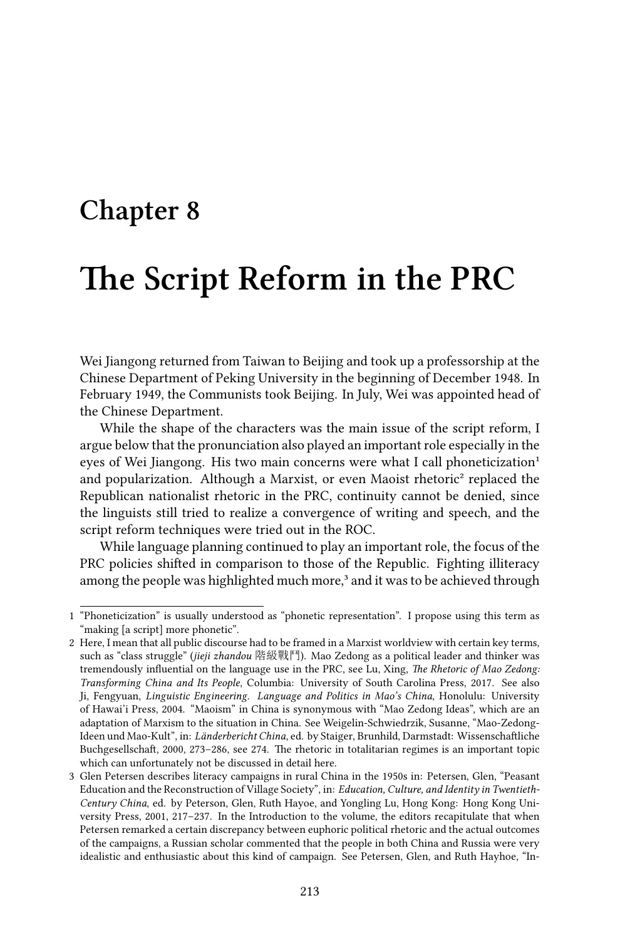## **Chapter 8**

# **The Script Reform in the PRC**

Wei Jiangong returned from Taiwan to Beijing and took up a professorship at the Chinese Department of Peking University in the beginning of December 1948. In February 1949, the Communists took Beijing. In July, Wei was appointed head of the Chinese Department.

While the shape of the characters was the main issue of the script reform, I argue below that the pronunciation also played an important role especially in the eyes of Wei Jiangong. His two main concerns were what I call phoneticization<sup>1</sup> and popularization. Although a Marxist, or even Maoist rhetoric² replaced the Republican nationalist rhetoric in the PRC, continuity cannot be denied, since the linguists still tried to realize a convergence of writing and speech, and the script reform techniques were tried out in the ROC.

While language planning continued to play an important role, the focus of the PRC policies shifted in comparison to those of the Republic. Fighting illiteracy among the people was highlighted much more,<sup>3</sup> and it was to be achieved through

<sup>1 &</sup>quot;Phoneticization" is usually understood as "phonetic representation". I propose using this term as "making [a script] more phonetic".

<sup>2</sup> Here, I mean that all public discourse had to be framed in a Marxist worldview with certain key terms, such as "class struggle" (*jieji zhandou* 階級戰鬥). Mao Zedong as a political leader and thinker was tremendously influential on the language use in the PRC, see Lu, Xing, *The Rhetoric of Mao Zedong: Transforming China and Its People*, Columbia: University of South Carolina Press, 2017. See also Ji, Fengyuan, *Linguistic Engineering. Language and Politics in Mao's China*, Honolulu: University of Hawai'i Press, 2004. "Maoism" in China is synonymous with "Mao Zedong Ideas", which are an adaptation of Marxism to the situation in China. See Weigelin-Schwiedrzik, Susanne, "Mao-Zedong-Ideen und Mao-Kult", in: *Länderbericht China*, ed. by Staiger, Brunhild, Darmstadt: Wissenschaftliche Buchgesellschaft, 2000, 273–286, see 274. The rhetoric in totalitarian regimes is an important topic which can unfortunately not be discussed in detail here.

<sup>3</sup> Glen Petersen describes literacy campaigns in rural China in the 1950s in: Petersen, Glen, "Peasant Education and the Reconstruction of Village Society", in: *Education, Culture, and Identity in Twentieth-Century China*, ed. by Peterson, Glen, Ruth Hayoe, and Yongling Lu, Hong Kong: Hong Kong University Press, 2001, 217–237. In the Introduction to the volume, the editors recapitulate that when Petersen remarked a certain discrepancy between euphoric political rhetoric and the actual outcomes of the campaigns, a Russian scholar commented that the people in both China and Russia were very idealistic and enthusiastic about this kind of campaign. See Petersen, Glen, and Ruth Hayhoe, "In-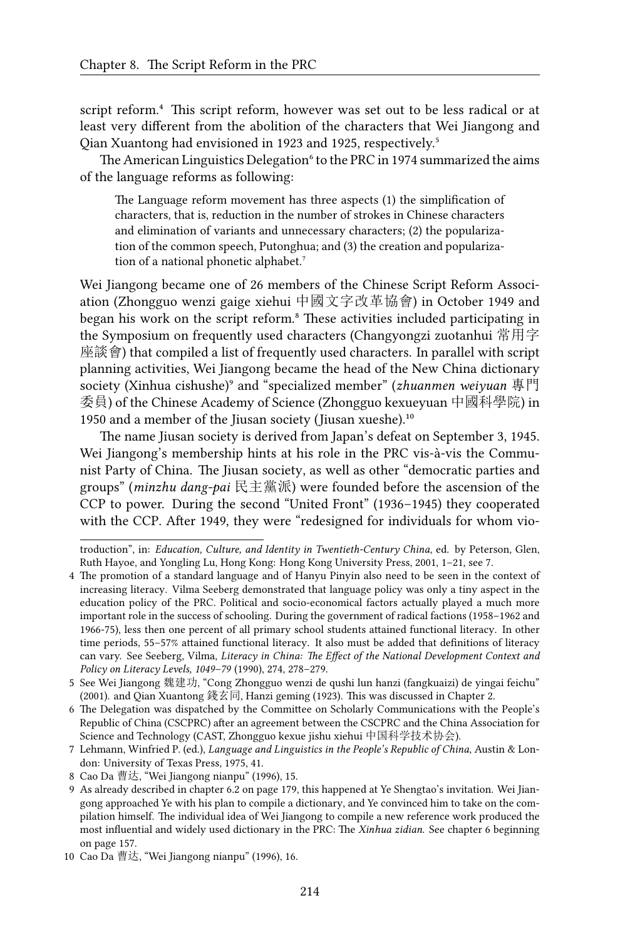script reform.<sup>4</sup> This script reform, however was set out to be less radical or at least very different from the abolition of the characters that Wei Jiangong and Qian Xuantong had envisioned in 1923 and 1925, respectively.<sup>5</sup>

The American Linguistics Delegation<sup>6</sup> to the PRC in 1974 summarized the aims of the language reforms as following:

The Language reform movement has three aspects (1) the simplification of characters, that is, reduction in the number of strokes in Chinese characters and elimination of variants and unnecessary characters; (2) the popularization of the common speech, Putonghua; and (3) the creation and popularization of a national phonetic alphabet.<sup>7</sup>

Wei Jiangong became one of 26 members of the Chinese Script Reform Association (Zhongguo wenzi gaige xiehui 中國文字改革協會) in October 1949 and began his work on the script reform.<sup>8</sup> These activities included participating in the Symposium on frequently used characters (Changyongzi zuotanhui 常用字 座談會) that compiled a list of frequently used characters. In parallel with script planning activities, Wei Jiangong became the head of the New China dictionary society (Xinhua cishushe)⁹ and "specialized member" (*zhuanmen weiyuan* 專門 委員) of the Chinese Academy of Science (Zhongguo kexueyuan 中國科學院) in 1950 and a member of the Jiusan society (Jiusan xueshe). $10$ 

The name Jiusan society is derived from Japan's defeat on September 3, 1945. Wei Jiangong's membership hints at his role in the PRC vis-à-vis the Communist Party of China. The Jiusan society, as well as other "democratic parties and groups" (*minzhu dang-pai* 民主黨派) were founded before the ascension of the CCP to power. During the second "United Front" (1936–1945) they cooperated with the CCP. After 1949, they were "redesigned for individuals for whom vio-

troduction", in: *Education, Culture, and Identity in Twentieth-Century China*, ed. by Peterson, Glen, Ruth Hayoe, and Yongling Lu, Hong Kong: Hong Kong University Press, 2001, 1–21, see 7.

<sup>4</sup> The promotion of a standard language and of Hanyu Pinyin also need to be seen in the context of increasing literacy. Vilma Seeberg demonstrated that language policy was only a tiny aspect in the education policy of the PRC. Political and socio-economical factors actually played a much more important role in the success of schooling. During the government of radical factions (1958–1962 and 1966-75), less then one percent of all primary school students attained functional literacy. In other time periods, 55–57% attained functional literacy. It also must be added that definitions of literacy can vary. See Seeberg, Vilma, *Literacy in China: The Effect of the National Development Context and Policy on Literacy Levels, 1049–79* (1990), 274, 278–279.

<sup>5</sup> See Wei Jiangong 魏建功, "Cong Zhongguo wenzi de qushi lun hanzi (fangkuaizi) de yingai feichu" (2001). and Qian Xuantong 錢玄同, Hanzi geming (1923). This was discussed in Chapter 2.

<sup>6</sup> The Delegation was dispatched by the Committee on Scholarly Communications with the People's Republic of China (CSCPRC) after an agreement between the CSCPRC and the China Association for Science and Technology (CAST, Zhongguo kexue jishu xiehui 中国科学技术协会).

<sup>7</sup> Lehmann, Winfried P. (ed.), *Language and Linguistics in the People's Republic of China*, Austin & London: University of Texas Press, 1975, 41.

<sup>8</sup> Cao Da 曹达, "Wei Jiangong nianpu" (1996), 15.

<sup>9</sup> As already described in chapter 6.2 on page 179, this happened at Ye Shengtao's invitation. Wei Jiangong approached Ye with his plan to compile a dictionary, and Ye convinced him to take on the compilation himself. The individual idea of Wei Jiangong to compile a new reference work produced the most influential and widely used dictionary in the PRC: The *Xinhua zidian*. See chapter 6 beginning on page 157.

<sup>10</sup> Cao Da 曹达, "Wei Jiangong nianpu" (1996), 16.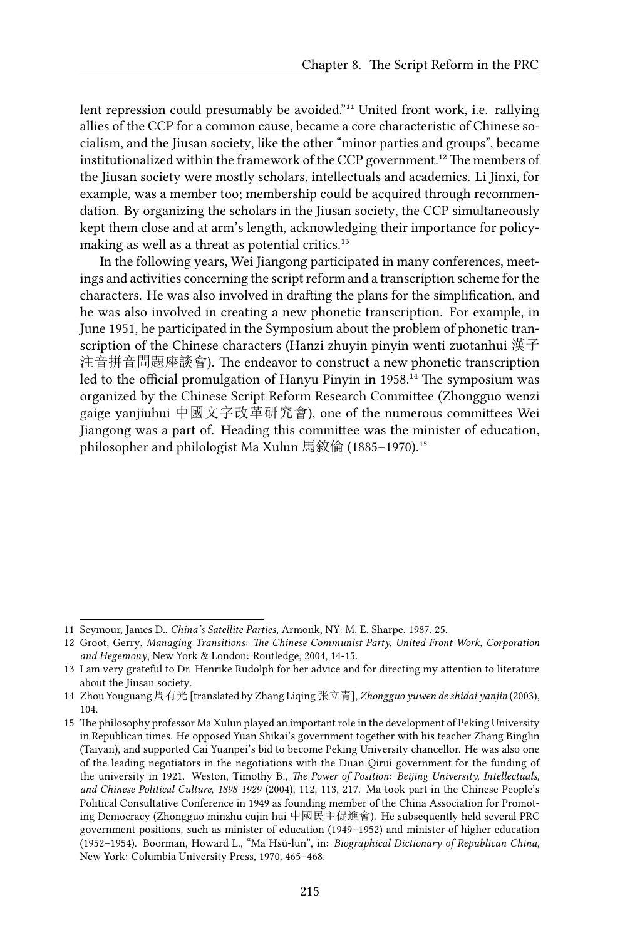lent repression could presumably be avoided."<sup>11</sup> United front work, i.e. rallying allies of the CCP for a common cause, became a core characteristic of Chinese socialism, and the Jiusan society, like the other "minor parties and groups", became institutionalized within the framework of the CCP government.<sup>12</sup> The members of the Jiusan society were mostly scholars, intellectuals and academics. Li Jinxi, for example, was a member too; membership could be acquired through recommendation. By organizing the scholars in the Jiusan society, the CCP simultaneously kept them close and at arm's length, acknowledging their importance for policymaking as well as a threat as potential critics.<sup>13</sup>

In the following years, Wei Jiangong participated in many conferences, meetings and activities concerning the script reform and a transcription scheme for the characters. He was also involved in drafting the plans for the simplification, and he was also involved in creating a new phonetic transcription. For example, in June 1951, he participated in the Symposium about the problem of phonetic transcription of the Chinese characters (Hanzi zhuyin pinyin wenti zuotanhui 漢子 注音拼音問題座談會). The endeavor to construct a new phonetic transcription led to the official promulgation of Hanyu Pinyin in 1958.<sup>14</sup> The symposium was organized by the Chinese Script Reform Research Committee (Zhongguo wenzi gaige yanjiuhui 中國文字改革研究會), one of the numerous committees Wei Jiangong was a part of. Heading this committee was the minister of education, philosopher and philologist Ma Xulun 馬敘倫 (1885–1970).<sup>15</sup>

<sup>11</sup> Seymour, James D., *China's Satellite Parties*, Armonk, NY: M. E. Sharpe, 1987, 25.

<sup>12</sup> Groot, Gerry, *Managing Transitions: The Chinese Communist Party, United Front Work, Corporation and Hegemony*, New York & London: Routledge, 2004, 14-15.

<sup>13</sup> I am very grateful to Dr. Henrike Rudolph for her advice and for directing my attention to literature about the Jiusan society.

<sup>14</sup> Zhou Youguang 周有光 [translated by Zhang Liqing 张立青], *Zhongguo yuwen de shidai yanjin* (2003), 104.

<sup>15</sup> The philosophy professor Ma Xulun played an important role in the development of Peking University in Republican times. He opposed Yuan Shikai's government together with his teacher Zhang Binglin (Taiyan), and supported Cai Yuanpei's bid to become Peking University chancellor. He was also one of the leading negotiators in the negotiations with the Duan Qirui government for the funding of the university in 1921. Weston, Timothy B., *The Power of Position: Beijing University, Intellectuals, and Chinese Political Culture, 1898-1929* (2004), 112, 113, 217. Ma took part in the Chinese People's Political Consultative Conference in 1949 as founding member of the China Association for Promoting Democracy (Zhongguo minzhu cujin hui 中國民主促進會). He subsequently held several PRC government positions, such as minister of education (1949–1952) and minister of higher education (1952–1954). Boorman, Howard L., "Ma Hsü-lun", in: *Biographical Dictionary of Republican China*, New York: Columbia University Press, 1970, 465–468.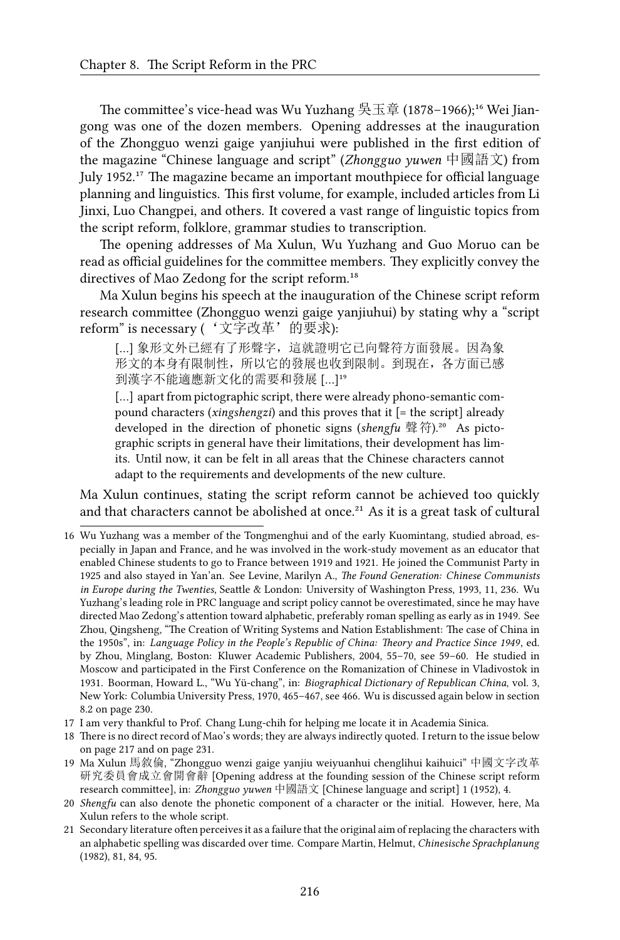The committee's vice-head was Wu Yuzhang 吳玉章 (1878–1966);<sup>16</sup> Wei Jiangong was one of the dozen members. Opening addresses at the inauguration of the Zhongguo wenzi gaige yanjiuhui were published in the first edition of the magazine "Chinese language and script" (*Zhongguo yuwen* 中國語文) from July 1952.<sup>17</sup> The magazine became an important mouthpiece for official language planning and linguistics. This first volume, for example, included articles from Li Jinxi, Luo Changpei, and others. It covered a vast range of linguistic topics from the script reform, folklore, grammar studies to transcription.

The opening addresses of Ma Xulun, Wu Yuzhang and Guo Moruo can be read as official guidelines for the committee members. They explicitly convey the directives of Mao Zedong for the script reform.<sup>18</sup>

Ma Xulun begins his speech at the inauguration of the Chinese script reform research committee (Zhongguo wenzi gaige yanjiuhui) by stating why a "script reform" is necessary ('文字改革'的要求):

[…] 象形文外已經有了形聲字,這就證明它已向聲符方面發展。因為象 形文的本身有限制性,所以它的發展也收到限制。到現在,各方面已感 到漢字不能適應新文化的需要和發展 […]19

[...] apart from pictographic script, there were already phono-semantic compound characters (*xingshengzi*) and this proves that it [= the script] already developed in the direction of phonetic signs (*shengfu* 聲符).<sup>20</sup> As pictographic scripts in general have their limitations, their development has limits. Until now, it can be felt in all areas that the Chinese characters cannot adapt to the requirements and developments of the new culture.

Ma Xulun continues, stating the script reform cannot be achieved too quickly and that characters cannot be abolished at once.<sup>21</sup> As it is a great task of cultural

- 17 I am very thankful to Prof. Chang Lung-chih for helping me locate it in Academia Sinica.
- 18 There is no direct record of Mao's words; they are always indirectly quoted. I return to the issue below on page 217 and on page 231.
- 19 Ma Xulun 馬敘倫, "Zhongguo wenzi gaige yanjiu weiyuanhui chenglihui kaihuici" 中國文字改革 研究委員會成立會開會辭 [Opening address at the founding session of the Chinese script reform research committee], in: *Zhongguo yuwen* 中國語文 [Chinese language and script] 1 (1952), 4.
- 20 *Shengfu* can also denote the phonetic component of a character or the initial. However, here, Ma Xulun refers to the whole script.
- 21 Secondary literature often perceives it as a failure that the original aim of replacing the characters with an alphabetic spelling was discarded over time. Compare Martin, Helmut, *Chinesische Sprachplanung* (1982), 81, 84, 95.

<sup>16</sup> Wu Yuzhang was a member of the Tongmenghui and of the early Kuomintang, studied abroad, especially in Japan and France, and he was involved in the work-study movement as an educator that enabled Chinese students to go to France between 1919 and 1921. He joined the Communist Party in 1925 and also stayed in Yan'an. See Levine, Marilyn A., *The Found Generation: Chinese Communists in Europe during the Twenties*, Seattle & London: University of Washington Press, 1993, 11, 236. Wu Yuzhang's leading role in PRC language and script policy cannot be overestimated, since he may have directed Mao Zedong's attention toward alphabetic, preferably roman spelling as early as in 1949. See Zhou, Qingsheng, "The Creation of Writing Systems and Nation Establishment: The case of China in the 1950s", in: *Language Policy in the People's Republic of China: Theory and Practice Since 1949*, ed. by Zhou, Minglang, Boston: Kluwer Academic Publishers, 2004, 55–70, see 59–60. He studied in Moscow and participated in the First Conference on the Romanization of Chinese in Vladivostok in 1931. Boorman, Howard L., "Wu Yü-chang", in: *Biographical Dictionary of Republican China*, vol. 3, New York: Columbia University Press, 1970, 465–467, see 466. Wu is discussed again below in section 8.2 on page 230.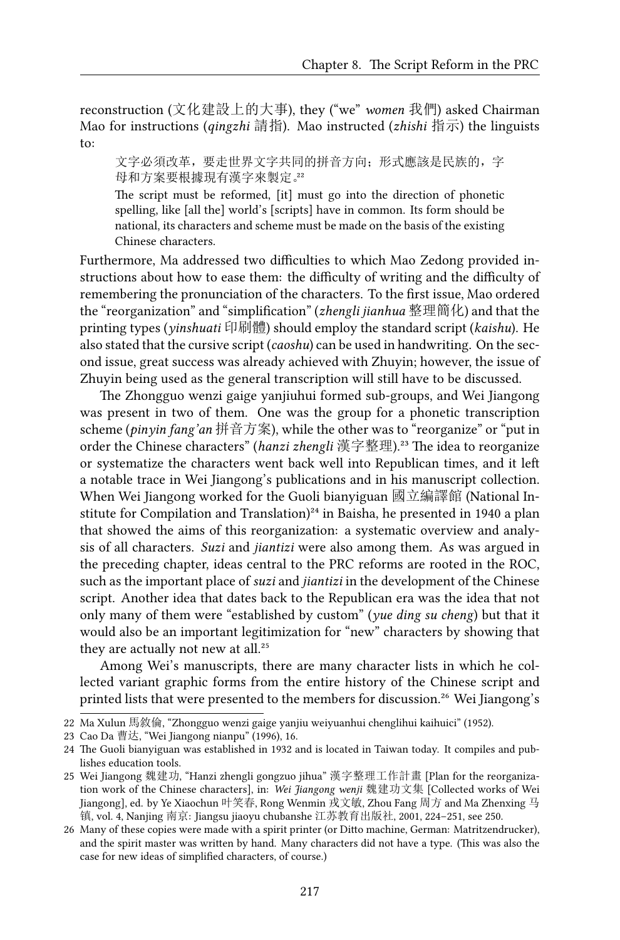reconstruction (文化建設上的大事), they ("we" *women* 我們) asked Chairman Mao for instructions (*qingzhi* 請指). Mao instructed (*zhishi* 指示) the linguists to:

文字必須改革,要走世界文字共同的拼音方向;形式應該是民族的,字 母和方案要根據現有漢字來製定。32

The script must be reformed, [it] must go into the direction of phonetic spelling, like [all the] world's [scripts] have in common. Its form should be national, its characters and scheme must be made on the basis of the existing Chinese characters.

Furthermore, Ma addressed two difficulties to which Mao Zedong provided instructions about how to ease them: the difficulty of writing and the difficulty of remembering the pronunciation of the characters. To the first issue, Mao ordered the "reorganization" and "simplification" (*zhengli jianhua* 整理簡化) and that the printing types (*yinshuati* 印刷體) should employ the standard script (*kaishu*). He also stated that the cursive script (*caoshu*) can be used in handwriting. On the second issue, great success was already achieved with Zhuyin; however, the issue of Zhuyin being used as the general transcription will still have to be discussed.

The Zhongguo wenzi gaige yanjiuhui formed sub-groups, and Wei Jiangong was present in two of them. One was the group for a phonetic transcription scheme (*pinyin fang'an* 拼音方案), while the other was to "reorganize" or "put in order the Chinese characters" (*hanzi zhengli* 漢字整理).²³ The idea to reorganize or systematize the characters went back well into Republican times, and it left a notable trace in Wei Jiangong's publications and in his manuscript collection. When Wei Jiangong worked for the Guoli bianyiguan 國立編譯館 (National Institute for Compilation and Translation)<sup>24</sup> in Baisha, he presented in 1940 a plan that showed the aims of this reorganization: a systematic overview and analysis of all characters. *Suzi* and *jiantizi* were also among them. As was argued in the preceding chapter, ideas central to the PRC reforms are rooted in the ROC, such as the important place of *suzi* and *jiantizi* in the development of the Chinese script. Another idea that dates back to the Republican era was the idea that not only many of them were "established by custom" (*yue ding su cheng*) but that it would also be an important legitimization for "new" characters by showing that they are actually not new at all.<sup>25</sup>

Among Wei's manuscripts, there are many character lists in which he collected variant graphic forms from the entire history of the Chinese script and printed lists that were presented to the members for discussion.<sup>26</sup> Wei Jiangong's

<sup>22</sup> Ma Xulun 馬敘倫, "Zhongguo wenzi gaige yanjiu weiyuanhui chenglihui kaihuici" (1952).

<sup>23</sup> Cao Da 曹达, "Wei Jiangong nianpu" (1996), 16.

<sup>24</sup> The Guoli bianyiguan was established in 1932 and is located in Taiwan today. It compiles and publishes education tools.

<sup>25</sup> Wei Jiangong 魏建功, "Hanzi zhengli gongzuo jihua" 漢字整理工作計畫 [Plan for the reorganization work of the Chinese characters], in: *Wei Jiangong wenji* 魏建功文集 [Collected works of Wei Jiangong], ed. by Ye Xiaochun 叶笑春, Rong Wenmin 戎文敏, Zhou Fang 周方 and Ma Zhenxing 马 镇, vol. 4, Nanjing 南京: Jiangsu jiaoyu chubanshe 江苏教育出版社, 2001, 224–251, see 250.

<sup>26</sup> Many of these copies were made with a spirit printer (or Ditto machine, German: Matritzendrucker), and the spirit master was written by hand. Many characters did not have a type. (This was also the case for new ideas of simplified characters, of course.)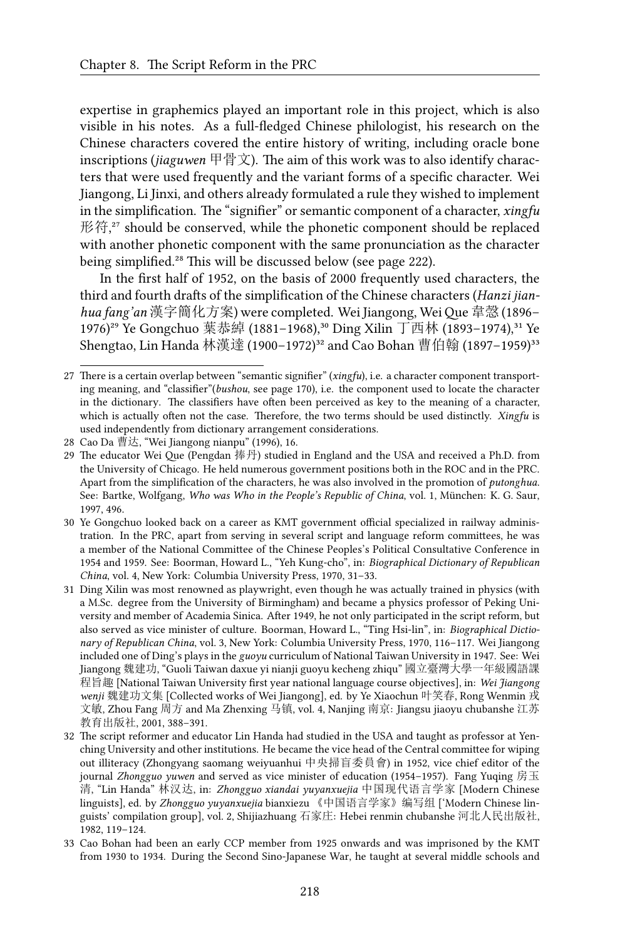expertise in graphemics played an important role in this project, which is also visible in his notes. As a full-fledged Chinese philologist, his research on the Chinese characters covered the entire history of writing, including oracle bone inscriptions (*jiaguwen* 甲骨文). The aim of this work was to also identify characters that were used frequently and the variant forms of a specific character. Wei Jiangong, Li Jinxi, and others already formulated a rule they wished to implement in the simplification. The "signifier" or semantic component of a character, *xingfu* 形符,<sup>27</sup> should be conserved, while the phonetic component should be replaced with another phonetic component with the same pronunciation as the character being simplified.<sup>28</sup> This will be discussed below (see page 222).

In the first half of 1952, on the basis of 2000 frequently used characters, the third and fourth drafts of the simplification of the Chinese characters (*Hanzi jianhua fang'an* 漢字簡化方案) were completed. Wei Jiangong, WeiQue 韋愨 (1896– 1976)<sup>29</sup> Ye Gongchuo 葉恭綽 (1881-1968),<sup>30</sup> Ding Xilin 丁西林 (1893-1974).<sup>31</sup> Ye Shengtao, Lin Handa 林漢達 (1900-1972)<sup>32</sup> and Cao Bohan 曹伯翰 (1897-1959)<sup>33</sup>

<sup>27</sup> There is a certain overlap between "semantic signifier" (*xingfu*), i.e. a character component transporting meaning, and "classifier"(*bushou*, see page 170), i.e. the component used to locate the character in the dictionary. The classifiers have often been perceived as key to the meaning of a character, which is actually often not the case. Therefore, the two terms should be used distinctly. *Xingfu* is used independently from dictionary arrangement considerations.

<sup>28</sup> Cao Da 曹达, "Wei Jiangong nianpu" (1996), 16.

<sup>29</sup> The educator Wei Que (Pengdan 捧丹) studied in England and the USA and received a Ph.D. from the University of Chicago. He held numerous government positions both in the ROC and in the PRC. Apart from the simplification of the characters, he was also involved in the promotion of *putonghua*. See: Bartke, Wolfgang, *Who was Who in the People's Republic of China*, vol. 1, München: K. G. Saur, 1997, 496.

<sup>30</sup> Ye Gongchuo looked back on a career as KMT government official specialized in railway administration. In the PRC, apart from serving in several script and language reform committees, he was a member of the National Committee of the Chinese Peoples's Political Consultative Conference in 1954 and 1959. See: Boorman, Howard L., "Yeh Kung-cho", in: *Biographical Dictionary of Republican China*, vol. 4, New York: Columbia University Press, 1970, 31–33.

<sup>31</sup> Ding Xilin was most renowned as playwright, even though he was actually trained in physics (with a M.Sc. degree from the University of Birmingham) and became a physics professor of Peking University and member of Academia Sinica. After 1949, he not only participated in the script reform, but also served as vice minister of culture. Boorman, Howard L., "Ting Hsi-lin", in: *Biographical Dictionary of Republican China*, vol. 3, New York: Columbia University Press, 1970, 116–117. Wei Jiangong included one of Ding's plays in the *guoyu* curriculum of National Taiwan University in 1947. See: Wei Jiangong 魏建功, "Guoli Taiwan daxue yi nianji guoyu kecheng zhiqu" 國立臺灣大學一年級國語課 程旨趣 [National Taiwan University first year national language course objectives], in: *Wei Jiangong wenji* 魏建功文集 [Collected works of Wei Jiangong], ed. by Ye Xiaochun 叶笑春, Rong Wenmin 戎 文敏, Zhou Fang 周方 and Ma Zhenxing 马镇, vol. 4, Nanjing 南京: Jiangsu jiaoyu chubanshe 江苏 教育出版社, 2001, 388–391.

<sup>32</sup> The script reformer and educator Lin Handa had studied in the USA and taught as professor at Yenching University and other institutions. He became the vice head of the Central committee for wiping out illiteracy (Zhongyang saomang weiyuanhui 中央掃盲委員會) in 1952, vice chief editor of the journal *Zhongguo yuwen* and served as vice minister of education (1954–1957). Fang Yuqing 房玉 清, "Lin Handa" 林汉达, in: *Zhongguo xiandai yuyanxuejia* 中国现代语言学家 [Modern Chinese linguists], ed. by *Zhongguo yuyanxuejia* bianxiezu 《中国语言学家》编写组 ['Modern Chinese linguists' compilation group], vol. 2, Shijiazhuang 石家庄: Hebei renmin chubanshe 河北人民出版社, 1982, 119–124.

<sup>33</sup> Cao Bohan had been an early CCP member from 1925 onwards and was imprisoned by the KMT from 1930 to 1934. During the Second Sino-Japanese War, he taught at several middle schools and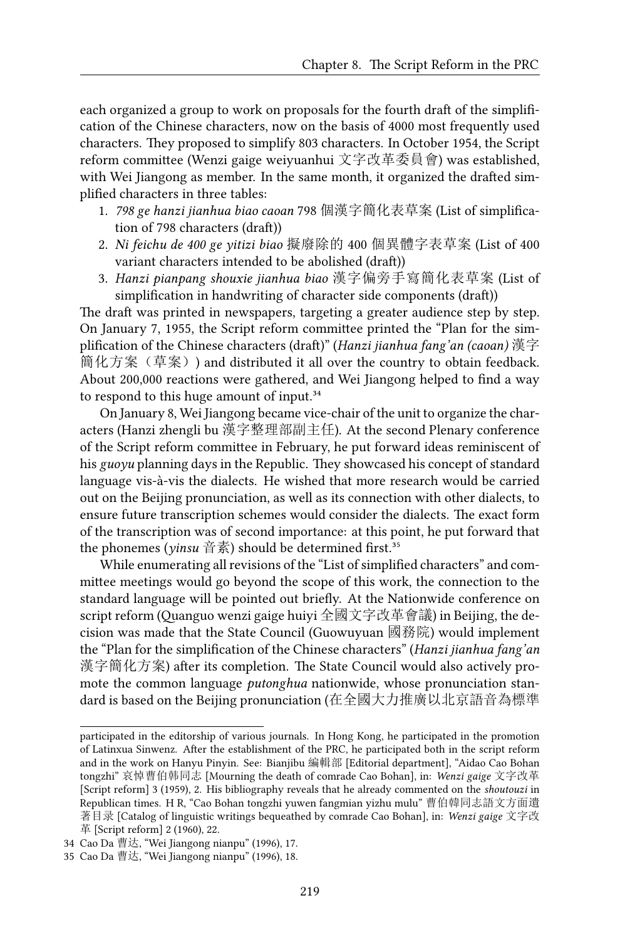each organized a group to work on proposals for the fourth draft of the simplification of the Chinese characters, now on the basis of 4000 most frequently used characters. They proposed to simplify 803 characters. In October 1954, the Script reform committee (Wenzi gaige weiyuanhui 文字改革委員會) was established, with Wei Jiangong as member. In the same month, it organized the drafted simplified characters in three tables:

- 1. *798 ge hanzi jianhua biao caoan* 798 個漢字簡化表草案 (List of simplification of 798 characters (draft))
- 2. *Ni feichu de 400 ge yitizi biao* 擬廢除的 400 個異體字表草案 (List of 400 variant characters intended to be abolished (draft))
- 3. *Hanzi pianpang shouxie jianhua biao* 漢字偏旁手寫簡化表草案 (List of simplification in handwriting of character side components (draft))

The draft was printed in newspapers, targeting a greater audience step by step. On January 7, 1955, the Script reform committee printed the "Plan for the simplification of the Chinese characters (draft)" (*Hanzi jianhua fang'an (caoan)* 漢字 簡化方案(草案)) and distributed it all over the country to obtain feedback. About 200,000 reactions were gathered, and Wei Jiangong helped to find a way to respond to this huge amount of input.<sup>34</sup>

On January 8, Wei Jiangong became vice-chair of the unit to organize the characters (Hanzi zhengli bu 漢字整理部副主任). At the second Plenary conference of the Script reform committee in February, he put forward ideas reminiscent of his *guoyu* planning days in the Republic. They showcased his concept of standard language vis-à-vis the dialects. He wished that more research would be carried out on the Beijing pronunciation, as well as its connection with other dialects, to ensure future transcription schemes would consider the dialects. The exact form of the transcription was of second importance: at this point, he put forward that the phonemes (*yinsu* 音素) should be determined first.<sup>35</sup>

While enumerating all revisions of the "List of simplified characters" and committee meetings would go beyond the scope of this work, the connection to the standard language will be pointed out briefly. At the Nationwide conference on script reform (Quanguo wenzi gaige huiyi 全國文字改革會議) in Beijing, the decision was made that the State Council (Guowuyuan 國務院) would implement the "Plan for the simplification of the Chinese characters" (*Hanzi jianhua fang'an* 漢字簡化方案) after its completion. The State Council would also actively promote the common language *putonghua* nationwide, whose pronunciation standard is based on the Beijing pronunciation (在全國大力推廣以北京語音為標準

participated in the editorship of various journals. In Hong Kong, he participated in the promotion of Latinxua Sinwenz. After the establishment of the PRC, he participated both in the script reform and in the work on Hanyu Pinyin. See: Bianjibu 編輯部 [Editorial department], "Aidao Cao Bohan tongzhi" 哀悼曹伯韩同志 [Mourning the death of comrade Cao Bohan], in: *Wenzi gaige* 文字改革 [Script reform] 3 (1959), 2. His bibliography reveals that he already commented on the *shoutouzi* in Republican times. H R, "Cao Bohan tongzhi yuwen fangmian yizhu mulu" 曹伯韓同志語文方面遺 著目录 [Catalog of linguistic writings bequeathed by comrade Cao Bohan], in: *Wenzi gaige* 文字改 革 [Script reform] 2 (1960), 22.

<sup>34</sup> Cao Da 曹达, "Wei Jiangong nianpu" (1996), 17.

<sup>35</sup> Cao Da 曹达, "Wei Jiangong nianpu" (1996), 18.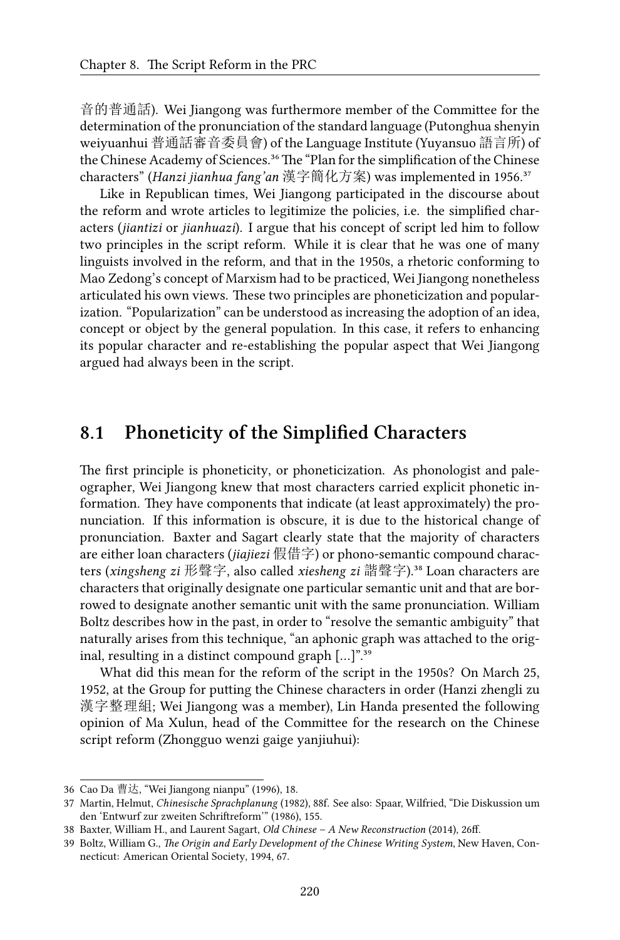音的普通話). Wei Jiangong was furthermore member of the Committee for the determination of the pronunciation of the standard language (Putonghua shenyin weiyuanhui 普通話審音委員會) of the Language Institute (Yuyansuo 語言所) of the Chinese Academy of Sciences.<sup>36</sup> The "Plan for the simplification of the Chinese characters" (*Hanzi jianhua fang'an* 漢字簡化方案) was implemented in 1956.<sup>37</sup>

Like in Republican times, Wei Jiangong participated in the discourse about the reform and wrote articles to legitimize the policies, i.e. the simplified characters (*jiantizi* or *jianhuazi*). I argue that his concept of script led him to follow two principles in the script reform. While it is clear that he was one of many linguists involved in the reform, and that in the 1950s, a rhetoric conforming to Mao Zedong's concept of Marxism had to be practiced, Wei Jiangong nonetheless articulated his own views. These two principles are phoneticization and popularization. "Popularization" can be understood as increasing the adoption of an idea, concept or object by the general population. In this case, it refers to enhancing its popular character and re-establishing the popular aspect that Wei Jiangong argued had always been in the script.

#### **8.1 Phoneticity of the Simplified Characters**

The first principle is phoneticity, or phoneticization. As phonologist and paleographer, Wei Jiangong knew that most characters carried explicit phonetic information. They have components that indicate (at least approximately) the pronunciation. If this information is obscure, it is due to the historical change of pronunciation. Baxter and Sagart clearly state that the majority of characters are either loan characters (*jiajiezi* 假借字) or phono-semantic compound characters (*xingsheng zi* 形聲字, also called *xiesheng zi* 諧聲字).³⁸ Loan characters are characters that originally designate one particular semantic unit and that are borrowed to designate another semantic unit with the same pronunciation. William Boltz describes how in the past, in order to "resolve the semantic ambiguity" that naturally arises from this technique, "an aphonic graph was attached to the original, resulting in a distinct compound graph  $[...]$ ."<sup>39</sup>

What did this mean for the reform of the script in the 1950s? On March 25, 1952, at the Group for putting the Chinese characters in order (Hanzi zhengli zu 漢字整理組; Wei Jiangong was a member), Lin Handa presented the following opinion of Ma Xulun, head of the Committee for the research on the Chinese script reform (Zhongguo wenzi gaige yanjiuhui):

<sup>36</sup> Cao Da 曹达, "Wei Jiangong nianpu" (1996), 18.

<sup>37</sup> Martin, Helmut, *Chinesische Sprachplanung* (1982), 88f. See also: Spaar, Wilfried, "Die Diskussion um den 'Entwurf zur zweiten Schriftreform'" (1986), 155.

<sup>38</sup> Baxter, William H., and Laurent Sagart, *Old Chinese – A New Reconstruction* (2014), 26ff.

<sup>39</sup> Boltz, William G., *The Origin and Early Development of the Chinese Writing System*, New Haven, Connecticut: American Oriental Society, 1994, 67.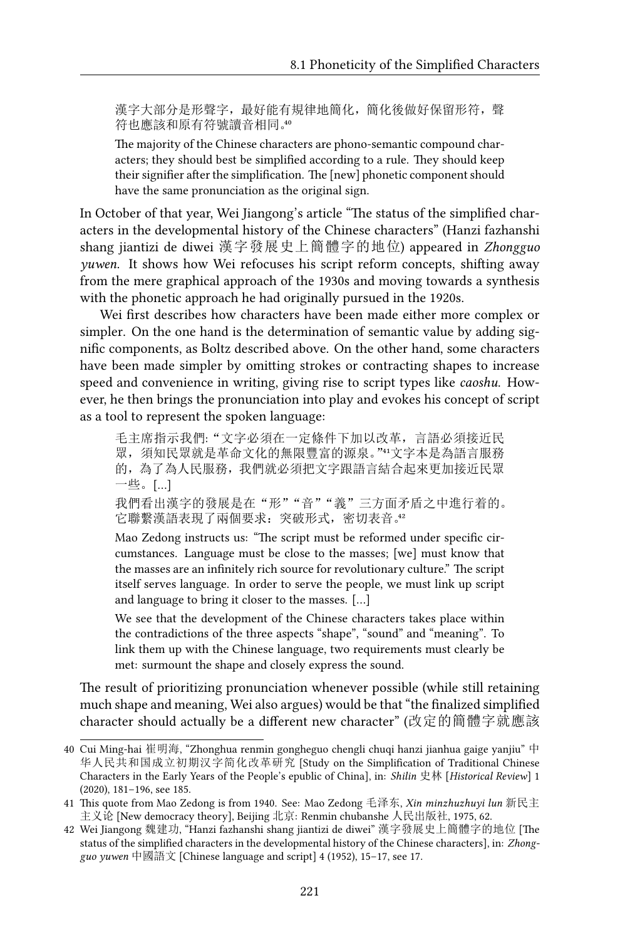漢字大部分是形聲字,最好能有規律地簡化,簡化後做好保留形符,聲 符也應該和原有符號讀音相同。40

The majority of the Chinese characters are phono-semantic compound characters; they should best be simplified according to a rule. They should keep their signifier after the simplification. The [new] phonetic component should have the same pronunciation as the original sign.

In October of that year, Wei Jiangong's article "The status of the simplified characters in the developmental history of the Chinese characters" (Hanzi fazhanshi shang jiantizi de diwei 漢字發展史上簡體字的地位) appeared in *Zhongguo yuwen*. It shows how Wei refocuses his script reform concepts, shifting away from the mere graphical approach of the 1930s and moving towards a synthesis with the phonetic approach he had originally pursued in the 1920s.

Wei first describes how characters have been made either more complex or simpler. On the one hand is the determination of semantic value by adding signific components, as Boltz described above. On the other hand, some characters have been made simpler by omitting strokes or contracting shapes to increase speed and convenience in writing, giving rise to script types like *caoshu*. However, he then brings the pronunciation into play and evokes his concept of script as a tool to represent the spoken language:

毛主席指示我們:"文字必須在一定條件下加以改革,言語必須接近民 眾,須知民眾就是革命文化的無限豐富的源泉。""文字本是為語言服務 的,為了為人民服務,我們就必須把文字跟語言結合起來更加接近民眾 一些。[…]

我們看出漢字的發展是在"形""音""義"三方面矛盾之中進行着的。 它聯繫漢語表現了兩個要求: 突破形式, 密切表音。

Mao Zedong instructs us: "The script must be reformed under specific circumstances. Language must be close to the masses; [we] must know that the masses are an infinitely rich source for revolutionary culture." The script itself serves language. In order to serve the people, we must link up script and language to bring it closer to the masses. […]

We see that the development of the Chinese characters takes place within the contradictions of the three aspects "shape", "sound" and "meaning". To link them up with the Chinese language, two requirements must clearly be met: surmount the shape and closely express the sound.

The result of prioritizing pronunciation whenever possible (while still retaining much shape and meaning, Wei also argues) would be that "the finalized simplified character should actually be a different new character" (改定的簡體字就應該

<sup>40</sup> Cui Ming-hai 崔明海, "Zhonghua renmin gongheguo chengli chuqi hanzi jianhua gaige yanjiu" 中 华人民共和国成立初期汉字简化改革研究 [Study on the Simplification of Traditional Chinese Characters in the Early Years of the People's epublic of China], in: *Shilin* 史林 [*Historical Review*] 1 (2020), 181–196, see 185.

<sup>41</sup> This quote from Mao Zedong is from 1940. See: Mao Zedong 毛泽东, *Xin minzhuzhuyi lun* 新民主 主义论 [New democracy theory], Beijing 北京: Renmin chubanshe 人民出版社, 1975, 62.

<sup>42</sup> Wei Jiangong 魏建功, "Hanzi fazhanshi shang jiantizi de diwei" 漢字發展史上簡體字的地位 [The status of the simplified characters in the developmental history of the Chinese characters], in: *Zhongguo yuwen* 中國語文 [Chinese language and script] 4 (1952), 15–17, see 17.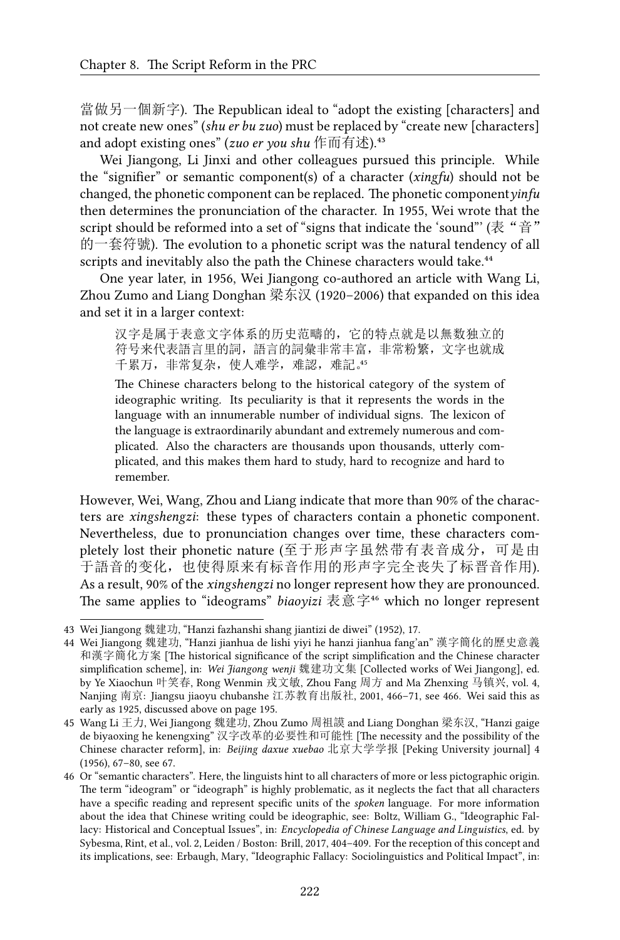當做另一個新字). The Republican ideal to "adopt the existing [characters] and not create new ones" (*shu er bu zuo*) must be replaced by "create new [characters] and adopt existing ones" (*zuo er you shu* 作而有述).<sup>43</sup>

Wei Jiangong, Li Jinxi and other colleagues pursued this principle. While the "signifier" or semantic component(s) of a character (*xingfu*) should not be changed, the phonetic component can be replaced. The phonetic component*yinfu* then determines the pronunciation of the character. In 1955, Wei wrote that the script should be reformed into a set of "signs that indicate the 'sound"' (表 "音" 的一套符號). The evolution to a phonetic script was the natural tendency of all scripts and inevitably also the path the Chinese characters would take.<sup>44</sup>

One year later, in 1956, Wei Jiangong co-authored an article with Wang Li, Zhou Zumo and Liang Donghan 梁东汉 (1920–2006) that expanded on this idea and set it in a larger context:

汉字是属于表意文字体系的历史范疇的,它的特点就是以無数独立的 符号来代表語言里的詞,語言的詞彙非常丰富,非常粉繁,文字也就成 千累万,非常复杂,使人难学,难認,难記。

The Chinese characters belong to the historical category of the system of ideographic writing. Its peculiarity is that it represents the words in the language with an innumerable number of individual signs. The lexicon of the language is extraordinarily abundant and extremely numerous and complicated. Also the characters are thousands upon thousands, utterly complicated, and this makes them hard to study, hard to recognize and hard to remember.

However, Wei, Wang, Zhou and Liang indicate that more than 90% of the characters are *xingshengzi*: these types of characters contain a phonetic component. Nevertheless, due to pronunciation changes over time, these characters completely lost their phonetic nature (至于形声字虽然带有表音成分,可是由 于語音的变化,也使得原来有标音作用的形声字完全丧失了标晋音作用). As a result, 90% of the *xingshengzi* no longer represent how they are pronounced. The same applies to "ideograms" *biaoyizi* 表意字<sup>46</sup> which no longer represent

<sup>43</sup> Wei Jiangong 魏建功, "Hanzi fazhanshi shang jiantizi de diwei" (1952), 17.

<sup>44</sup> Wei Jiangong 魏建功, "Hanzi jianhua de lishi yiyi he hanzi jianhua fang'an" 漢字簡化的歷史意義 和漢字簡化方案 [The historical significance of the script simplification and the Chinese character simplification scheme], in: *Wei Jiangong wenji* 魏建功文集 [Collected works of Wei Jiangong], ed. by Ye Xiaochun 叶笑春, Rong Wenmin 戎文敏, Zhou Fang 周方 and Ma Zhenxing 马镇兴, vol. 4, Nanjing 南京: Jiangsu jiaoyu chubanshe 江苏教育出版社, 2001, 466–71, see 466. Wei said this as early as 1925, discussed above on page 195.

<sup>45</sup> Wang Li 王力, Wei Jiangong 魏建功, Zhou Zumo 周祖謨 and Liang Donghan 梁东汉, "Hanzi gaige de biyaoxing he kenengxing" 汉字改革的必要性和可能性 [The necessity and the possibility of the Chinese character reform], in: *Beijing daxue xuebao* 北京大学学报 [Peking University journal] 4 (1956), 67–80, see 67.

<sup>46</sup> Or "semantic characters". Here, the linguists hint to all characters of more or less pictographic origin. The term "ideogram" or "ideograph" is highly problematic, as it neglects the fact that all characters have a specific reading and represent specific units of the *spoken* language. For more information about the idea that Chinese writing could be ideographic, see: Boltz, William G., "Ideographic Fallacy: Historical and Conceptual Issues", in: *Encyclopedia of Chinese Language and Linguistics*, ed. by Sybesma, Rint, et al., vol. 2, Leiden / Boston: Brill, 2017, 404–409. For the reception of this concept and its implications, see: Erbaugh, Mary, "Ideographic Fallacy: Sociolinguistics and Political Impact", in: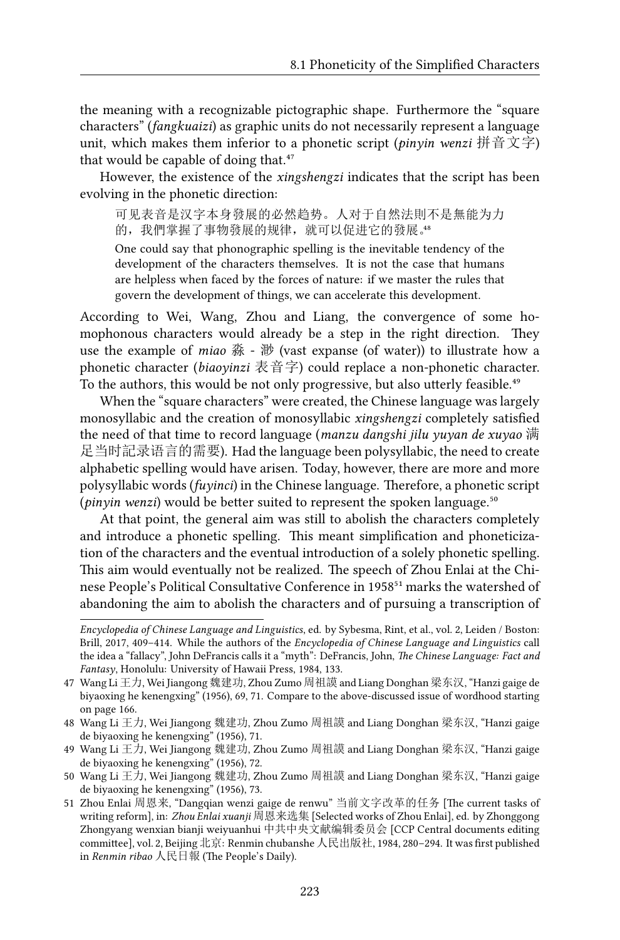the meaning with a recognizable pictographic shape. Furthermore the "square characters" (*fangkuaizi*) as graphic units do not necessarily represent a language unit, which makes them inferior to a phonetic script (*pinyin wenzi* 拼音文字) that would be capable of doing that.<sup>47</sup>

However, the existence of the *xingshengzi* indicates that the script has been evolving in the phonetic direction:

可见表音是汉字本身發展的必然趋势。人对于自然法則不是無能为力 的,我們掌握了事物發展的规律,就可以促进它的發展。

One could say that phonographic spelling is the inevitable tendency of the development of the characters themselves. It is not the case that humans are helpless when faced by the forces of nature: if we master the rules that govern the development of things, we can accelerate this development.

According to Wei, Wang, Zhou and Liang, the convergence of some homophonous characters would already be a step in the right direction. They use the example of *miao* 淼 - 渺 (vast expanse (of water)) to illustrate how a phonetic character (*biaoyinzi* 表音字) could replace a non-phonetic character. To the authors, this would be not only progressive, but also utterly feasible.<sup>49</sup>

When the "square characters" were created, the Chinese language was largely monosyllabic and the creation of monosyllabic *xingshengzi* completely satisfied the need of that time to record language (*manzu dangshi jilu yuyan de xuyao* 满 足当时記录语言的需要). Had the language been polysyllabic, the need to create alphabetic spelling would have arisen. Today, however, there are more and more polysyllabic words (*fuyinci*) in the Chinese language. Therefore, a phonetic script (*pinyin wenzi*) would be better suited to represent the spoken language.<sup>50</sup>

At that point, the general aim was still to abolish the characters completely and introduce a phonetic spelling. This meant simplification and phoneticization of the characters and the eventual introduction of a solely phonetic spelling. This aim would eventually not be realized. The speech of Zhou Enlai at the Chinese People's Political Consultative Conference in 1958<sup>51</sup> marks the watershed of abandoning the aim to abolish the characters and of pursuing a transcription of

*Encyclopedia of Chinese Language and Linguistics*, ed. by Sybesma, Rint, et al., vol. 2, Leiden / Boston: Brill, 2017, 409–414. While the authors of the *Encyclopedia of Chinese Language and Linguistics* call the idea a "fallacy", John DeFrancis calls it a "myth": DeFrancis, John, *The Chinese Language: Fact and Fantasy*, Honolulu: University of Hawaii Press, 1984, 133.

<sup>47</sup> Wang Li 王力, Wei Jiangong 魏建功, Zhou Zumo 周祖謨 and Liang Donghan 梁东汉, "Hanzi gaige de biyaoxing he kenengxing" (1956), 69, 71. Compare to the above-discussed issue of wordhood starting on page 166.

<sup>48</sup> Wang Li 王力, Wei Jiangong 魏建功, Zhou Zumo 周祖謨 and Liang Donghan 梁东汉, "Hanzi gaige de biyaoxing he kenengxing" (1956), 71.

<sup>49</sup> Wang Li 王力, Wei Jiangong 魏建功, Zhou Zumo 周祖謨 and Liang Donghan 梁东汉, "Hanzi gaige de biyaoxing he kenengxing" (1956), 72.

<sup>50</sup> Wang Li 王力, Wei Jiangong 魏建功, Zhou Zumo 周祖謨 and Liang Donghan 梁东汉, "Hanzi gaige de biyaoxing he kenengxing" (1956), 73.

<sup>51</sup> Zhou Enlai 周恩来, "Dangqian wenzi gaige de renwu" 当前文字改革的任务 [The current tasks of writing reform], in: *Zhou Enlai xuanji* 周恩来选集 [Selected works of Zhou Enlai], ed. by Zhonggong Zhongyang wenxian bianji weiyuanhui 中共中央文献编辑委员会 [CCP Central documents editing committee], vol. 2, Beijing 北京: Renmin chubanshe 人民出版社, 1984, 280–294. It was first published in *Renmin ribao* 人民日報 (The People's Daily).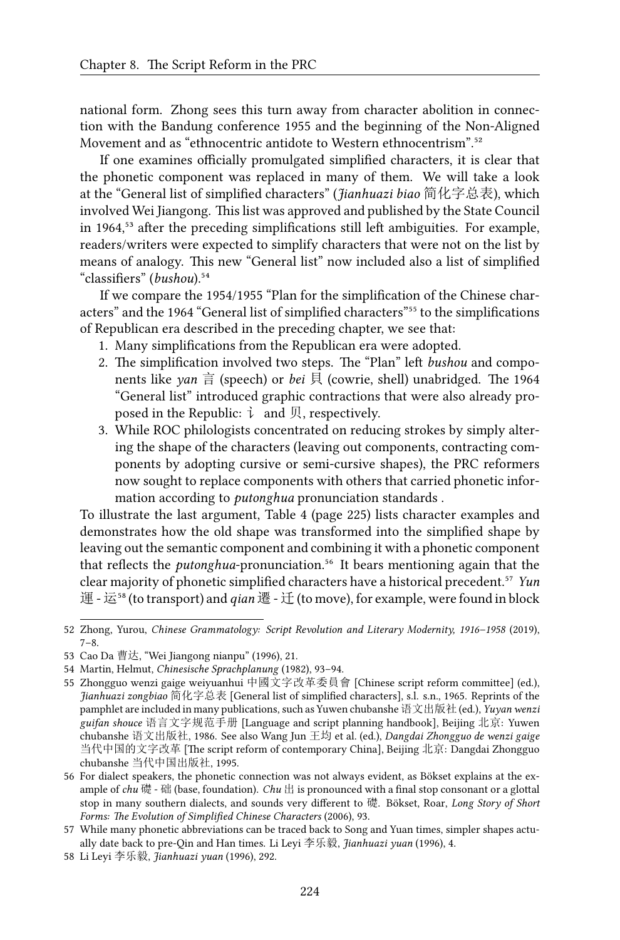national form. Zhong sees this turn away from character abolition in connection with the Bandung conference 1955 and the beginning of the Non-Aligned Movement and as "ethnocentric antidote to Western ethnocentrism".<sup>52</sup>

If one examines officially promulgated simplified characters, it is clear that the phonetic component was replaced in many of them. We will take a look at the "General list of simplified characters" (*Jianhuazi biao* 简化字总表), which involved Wei Jiangong. This list was approved and published by the State Council in 1964,<sup>53</sup> after the preceding simplifications still left ambiguities. For example, readers/writers were expected to simplify characters that were not on the list by means of analogy. This new "General list" now included also a list of simplified "classifiers" (*bushou*).<sup>54</sup>

If we compare the 1954/1955 "Plan for the simplification of the Chinese characters" and the 1964 "General list of simplified characters"<sup>55</sup> to the simplifications of Republican era described in the preceding chapter, we see that:

- 1. Many simplifications from the Republican era were adopted.
- 2. The simplification involved two steps. The "Plan" left *bushou* and components like *yan* 言 (speech) or *bei* 貝 (cowrie, shell) unabridged. The 1964 "General list" introduced graphic contractions that were also already proposed in the Republic:  $\vec{\iota}$  and 贝, respectively.
- 3. While ROC philologists concentrated on reducing strokes by simply altering the shape of the characters (leaving out components, contracting components by adopting cursive or semi-cursive shapes), the PRC reformers now sought to replace components with others that carried phonetic information according to *putonghua* pronunciation standards .

To illustrate the last argument, Table 4 (page 225) lists character examples and demonstrates how the old shape was transformed into the simplified shape by leaving out the semantic component and combining it with a phonetic component that reflects the *putonghua*-pronunciation.<sup>56</sup> It bears mentioning again that the clear majority of phonetic simplified characters have a historical precedent.<sup>57</sup> *Yun* 運 - 运<sup>58</sup> (to transport) and *qian* 遷 - 迁 (to move), for example, were found in block

<sup>52</sup> Zhong, Yurou, *Chinese Grammatology: Script Revolution and Literary Modernity, 1916–1958* (2019), 7–8.

<sup>53</sup> Cao Da 曹达, "Wei Jiangong nianpu" (1996), 21.

<sup>54</sup> Martin, Helmut, *Chinesische Sprachplanung* (1982), 93–94.

<sup>55</sup> Zhongguo wenzi gaige weiyuanhui 中國文字改革委員會 [Chinese script reform committee] (ed.), *Jianhuazi zongbiao* 简化字总表 [General list of simplified characters], s.l. s.n., 1965. Reprints of the pamphlet are included in many publications, such as Yuwen chubanshe 语文出版社 (ed.), *Yuyan wenzi guifan shouce* 语言文字规范手册 [Language and script planning handbook], Beijing 北京: Yuwen chubanshe 语文出版社, 1986. See also Wang Jun 王均 et al. (ed.), *Dangdai Zhongguo de wenzi gaige* 当代中国的文字改革 [The script reform of contemporary China], Beijing 北京: Dangdai Zhongguo chubanshe 当代中国出版社, 1995.

<sup>56</sup> For dialect speakers, the phonetic connection was not always evident, as Bökset explains at the example of *chu* 礎 - 础 (base, foundation). *Chu* 出 is pronounced with a final stop consonant or a glottal stop in many southern dialects, and sounds very different to 礎. Bökset, Roar, *Long Story of Short Forms: The Evolution of Simplified Chinese Characters* (2006), 93.

<sup>57</sup> While many phonetic abbreviations can be traced back to Song and Yuan times, simpler shapes actually date back to pre-Qin and Han times. Li Leyi 李乐毅, *Jianhuazi yuan* (1996), 4.

<sup>58</sup> Li Leyi 李乐毅, *Jianhuazi yuan* (1996), 292.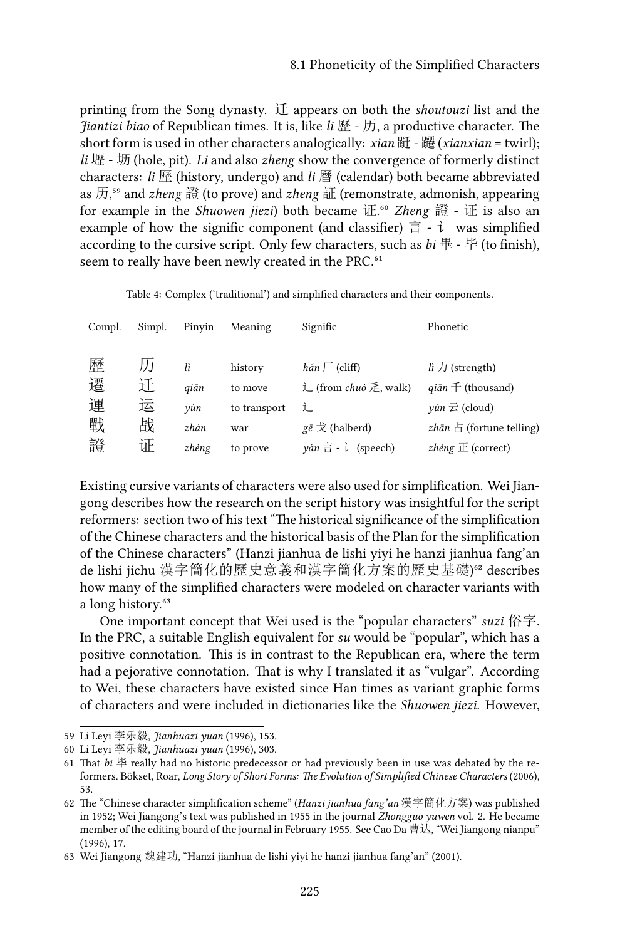printing from the Song dynasty. 迁 appears on both the *shoutouzi* list and the *Jiantizi biao* of Republican times. It is, like *li* 歷 - 历, a productive character. The short form is used in other characters analogically: *xian* 跹 - 躚 (*xianxian* = twirl); *li* 壢 - 坜 (hole, pit). *Li* and also *zheng* show the convergence of formerly distinct characters: *li* 歷 (history, undergo) and *li* 曆 (calendar) both became abbreviated as 历,⁵⁹ and *zheng* 證 (to prove) and *zheng* 証 (remonstrate, admonish, appearing for example in the *Shuowen jiezi*) both became 证.⁶⁰ *Zheng* 證 - 证 is also an example of how the signific component (and classifier)  $\frac{2}{\pi}$  -  $\frac{1}{\nu}$  was simplified according to the cursive script. Only few characters, such as  $bi \ncong -\ncong$  (to finish), seem to really have been newly created in the PRC.<sup>61</sup>

| Compl. | Simpl. | Pinvin | Meaning      | Signific                                                           | Phonetic                                            |
|--------|--------|--------|--------------|--------------------------------------------------------------------|-----------------------------------------------------|
|        |        |        |              |                                                                    |                                                     |
| 歷      | 历      | lì     | history      | $h$ ăn $\Gamma$ (cliff)                                            | li $\pi$ (strength)                                 |
| 遷      | 迁      | giān   | to move      | 辶 (from <i>chuò</i> 辵, walk)                                       | $q\bar{a}n \pm ($ thousand)                         |
| 運      | 运      | vùn    | to transport | 辶                                                                  | $\gamma$ <i>un</i> $\overline{\mathcal{L}}$ (cloud) |
| 戰      | 战      | zhàn   | war          | $g\bar{e} \nless$ (halberd)                                        | <i>zhān</i> $\boxdot$ (fortune telling)             |
| 證      | 证      | zhèng  | to prove     | $\gamma$ án $\overline{\overline{a}}$ - $\overline{\tau}$ (speech) | zhèng $E$ (correct)                                 |
|        |        |        |              |                                                                    |                                                     |

Table 4: Complex ('traditional') and simplified characters and their components.

Existing cursive variants of characters were also used for simplification. Wei Jiangong describes how the research on the script history was insightful for the script reformers: section two of his text "The historical significance of the simplification of the Chinese characters and the historical basis of the Plan for the simplification of the Chinese characters" (Hanzi jianhua de lishi yiyi he hanzi jianhua fang'an de lishi jichu 漢字簡化的歷史意義和漢字簡化方案的歷史基礎)<sup>62</sup> describes how many of the simplified characters were modeled on character variants with a long history.<sup>63</sup>

One important concept that Wei used is the "popular characters" *suzi* 俗字. In the PRC, a suitable English equivalent for *su* would be "popular", which has a positive connotation. This is in contrast to the Republican era, where the term had a pejorative connotation. That is why I translated it as "vulgar". According to Wei, these characters have existed since Han times as variant graphic forms of characters and were included in dictionaries like the *Shuowen jiezi*. However,

<sup>59</sup> Li Leyi 李乐毅, *Jianhuazi yuan* (1996), 153.

<sup>60</sup> Li Leyi 李乐毅, *Jianhuazi yuan* (1996), 303.

<sup>61</sup> That  $bi \not\models$  really had no historic predecessor or had previously been in use was debated by the reformers. Bökset, Roar, *Long Story of Short Forms: The Evolution of Simplified Chinese Characters* (2006), 53.

<sup>62</sup> The "Chinese character simplification scheme" (*Hanzi jianhua fang'an* 漢字簡化方案) was published in 1952; Wei Jiangong's text was published in 1955 in the journal *Zhongguo yuwen* vol. 2. He became member of the editing board of the journal in February 1955. See Cao Da 曹达, "Wei Jiangong nianpu" (1996), 17.

<sup>63</sup> Wei Jiangong 魏建功, "Hanzi jianhua de lishi yiyi he hanzi jianhua fang'an" (2001).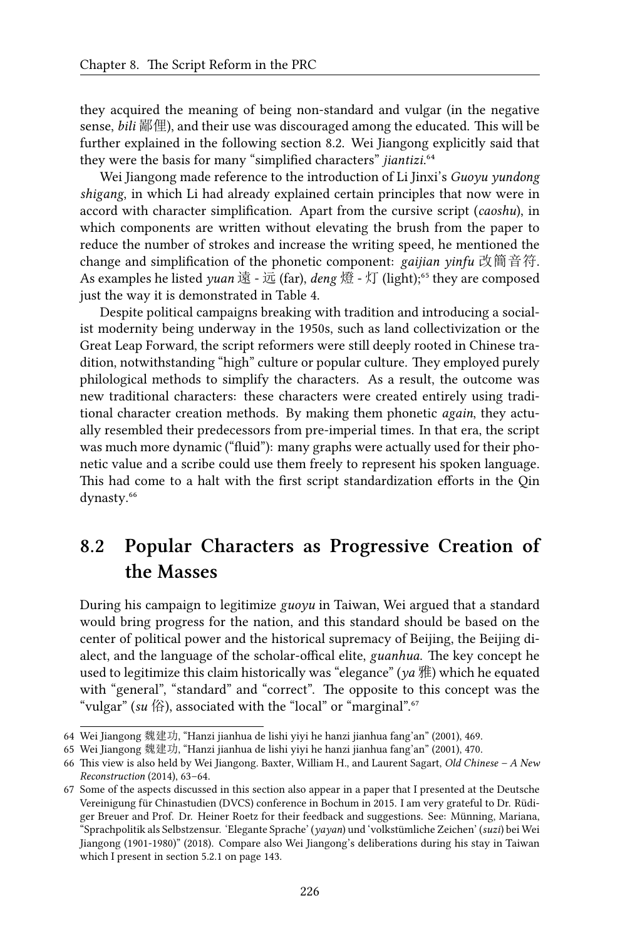they acquired the meaning of being non-standard and vulgar (in the negative sense, *bili* 鄙俚), and their use was discouraged among the educated. This will be further explained in the following section 8.2. Wei Jiangong explicitly said that they were the basis for many "simplified characters" *jiantizi.*<sup>64</sup>

Wei Jiangong made reference to the introduction of Li Jinxi's *Guoyu yundong shigang*, in which Li had already explained certain principles that now were in accord with character simplification. Apart from the cursive script (*caoshu*), in which components are written without elevating the brush from the paper to reduce the number of strokes and increase the writing speed, he mentioned the change and simplification of the phonetic component: *gaijian yinfu* 改簡音符. As examples he listed *yuan* 遠 - 远 (far), *deng* 燈 - 灯 (light);<sup>65</sup> they are composed just the way it is demonstrated in Table 4.

Despite political campaigns breaking with tradition and introducing a socialist modernity being underway in the 1950s, such as land collectivization or the Great Leap Forward, the script reformers were still deeply rooted in Chinese tradition, notwithstanding "high" culture or popular culture. They employed purely philological methods to simplify the characters. As a result, the outcome was new traditional characters: these characters were created entirely using traditional character creation methods. By making them phonetic *again*, they actually resembled their predecessors from pre-imperial times. In that era, the script was much more dynamic ("fluid"): many graphs were actually used for their phonetic value and a scribe could use them freely to represent his spoken language. This had come to a halt with the first script standardization efforts in the Qin dynasty.<sup>66</sup>

## **8.2 Popular Characters as Progressive Creation of the Masses**

During his campaign to legitimize *guoyu* in Taiwan, Wei argued that a standard would bring progress for the nation, and this standard should be based on the center of political power and the historical supremacy of Beijing, the Beijing dialect, and the language of the scholar-offical elite, *guanhua*. The key concept he used to legitimize this claim historically was "elegance" (*ya* 雅) which he equated with "general", "standard" and "correct". The opposite to this concept was the "vulgar" (*su* 俗), associated with the "local" or "marginal".<sup>67</sup>

<sup>64</sup> Wei Jiangong 魏建功, "Hanzi jianhua de lishi yiyi he hanzi jianhua fang'an" (2001), 469.

<sup>65</sup> Wei Jiangong 魏建功, "Hanzi jianhua de lishi yiyi he hanzi jianhua fang'an" (2001), 470.

<sup>66</sup> This view is also held by Wei Jiangong. Baxter, William H., and Laurent Sagart, *Old Chinese – A New Reconstruction* (2014), 63–64.

<sup>67</sup> Some of the aspects discussed in this section also appear in a paper that I presented at the Deutsche Vereinigung für Chinastudien (DVCS) conference in Bochum in 2015. I am very grateful to Dr. Rüdiger Breuer and Prof. Dr. Heiner Roetz for their feedback and suggestions. See: Münning, Mariana, "Sprachpolitik als Selbstzensur. 'Elegante Sprache' (*yayan*) und 'volkstümliche Zeichen' (*suzi*) bei Wei Jiangong (1901-1980)" (2018). Compare also Wei Jiangong's deliberations during his stay in Taiwan which I present in section 5.2.1 on page 143.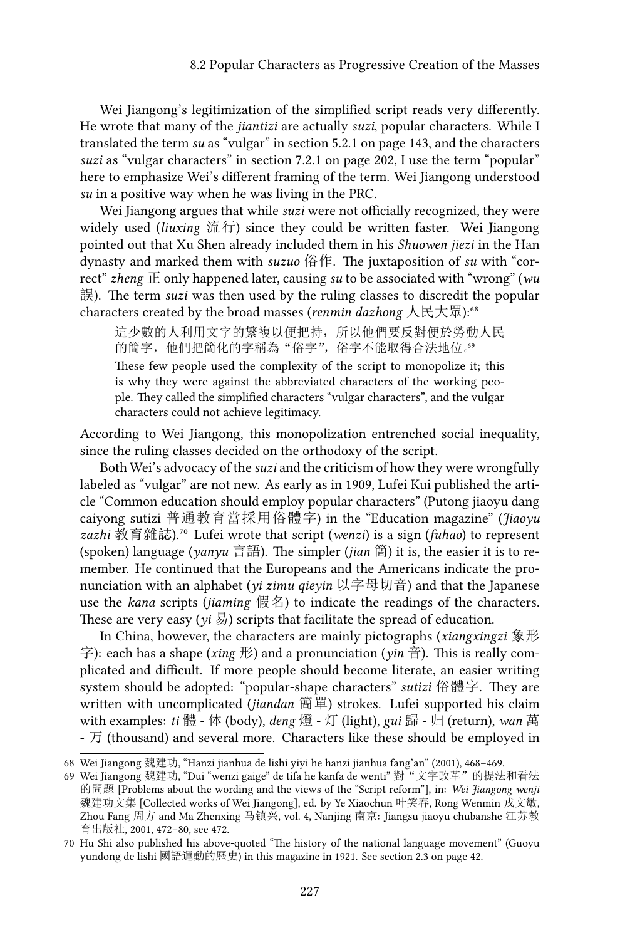Wei Jiangong's legitimization of the simplified script reads very differently. He wrote that many of the *jiantizi* are actually *suzi*, popular characters. While I translated the term *su* as "vulgar" in section 5.2.1 on page 143, and the characters *suzi* as "vulgar characters" in section 7.2.1 on page 202, I use the term "popular" here to emphasize Wei's different framing of the term. Wei Jiangong understood *su* in a positive way when he was living in the PRC.

Wei Jiangong argues that while *suzi* were not officially recognized, they were widely used (*liuxing* 流行) since they could be written faster. Wei Jiangong pointed out that Xu Shen already included them in his *Shuowen jiezi* in the Han dynasty and marked them with *suzuo* 俗作. The juxtaposition of *su* with "correct" *zheng* 正 only happened later, causing *su* to be associated with "wrong" (*wu* 誤). The term *suzi* was then used by the ruling classes to discredit the popular characters created by the broad masses (*renmin dazhong* 人民大眾):<sup>68</sup>

這少數的人利用文字的繁複以便把持,所以他們要反對便於勞動人民 的簡字,他們把簡化的字稱為"俗字",俗字不能取得合法地位。。

These few people used the complexity of the script to monopolize it; this is why they were against the abbreviated characters of the working people. They called the simplified characters "vulgar characters", and the vulgar characters could not achieve legitimacy.

According to Wei Jiangong, this monopolization entrenched social inequality, since the ruling classes decided on the orthodoxy of the script.

Both Wei's advocacy of the *suzi* and the criticism of how they were wrongfully labeled as "vulgar" are not new. As early as in 1909, Lufei Kui published the article "Common education should employ popular characters" (Putong jiaoyu dang caiyong sutizi 普通教育當採用俗體字) in the "Education magazine" (*Jiaoyu zazhi* 教育雜誌).⁷⁰ Lufei wrote that script (*wenzi*) is a sign (*fuhao*) to represent (spoken) language (*yanyu* 言語). The simpler (*jian* 簡) it is, the easier it is to remember. He continued that the Europeans and the Americans indicate the pronunciation with an alphabet (*yi zimu qieyin* 以字母切音) and that the Japanese use the *kana* scripts (*jiaming* 假名) to indicate the readings of the characters. These are very easy  $(v_i \overline{B})$  scripts that facilitate the spread of education.

In China, however, the characters are mainly pictographs (*xiangxingzi* 象形 字): each has a shape (*xing* 形) and a pronunciation (*yin* 音). This is really complicated and difficult. If more people should become literate, an easier writing system should be adopted: "popular-shape characters" *sutizi* 俗體字. They are written with uncomplicated (*jiandan* 簡單) strokes. Lufei supported his claim with examples: *ti* 體 - 体 (body), *deng* 燈 - 灯 (light), *gui* 歸 - 归 (return), *wan* 萬 - 万 (thousand) and several more. Characters like these should be employed in

<sup>68</sup> Wei Jiangong 魏建功, "Hanzi jianhua de lishi yiyi he hanzi jianhua fang'an" (2001), 468–469.

<sup>69</sup> Wei Jiangong 魏建功, "Dui "wenzi gaige" de tifa he kanfa de wenti" 對"文字改革"的提法和看法 的問題 [Problems about the wording and the views of the "Script reform"], in: *Wei Jiangong wenji* 魏建功文集 [Collected works of Wei Jiangong], ed. by Ye Xiaochun 叶笑春, Rong Wenmin 戎文敏, Zhou Fang 周方 and Ma Zhenxing 马镇兴, vol. 4, Nanjing 南京: Jiangsu jiaoyu chubanshe 江苏教 育出版社, 2001, 472–80, see 472.

<sup>70</sup> Hu Shi also published his above-quoted "The history of the national language movement" (Guoyu yundong de lishi 國語運動的歷史) in this magazine in 1921. See section 2.3 on page 42.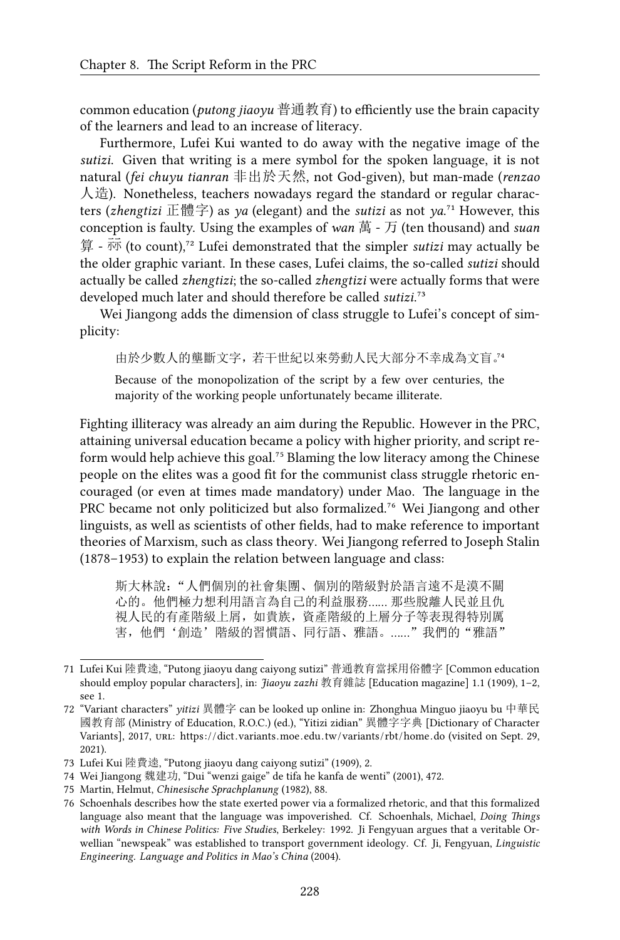common education (*putong jiaoyu* 普通教育) to efficiently use the brain capacity of the learners and lead to an increase of literacy.

Furthermore, Lufei Kui wanted to do away with the negative image of the *sutizi*. Given that writing is a mere symbol for the spoken language, it is not natural (*fei chuyu tianran* 非出於天然, not God-given), but man-made (*renzao* 人造). Nonetheless, teachers nowadays regard the standard or regular characters (*zhengtizi* 正體字) as *ya* (elegant) and the *sutizi* as not *ya*.<sup>71</sup> However, this conception is faulty. Using the examples of *wan* 萬 - 万 (ten thousand) and *suan* 算 -  $\overline{m}$  (to count),<sup>72</sup> Lufei demonstrated that the simpler *sutizi* may actually be the older graphic variant. In these cases, Lufei claims, the so-called *sutizi* should actually be called *zhengtizi*; the so-called *zhengtizi* were actually forms that were developed much later and should therefore be called *sutizi*.<sup>73</sup>

Wei Jiangong adds the dimension of class struggle to Lufei's concept of simplicity:

由於少數人的壟斷文字,若干世紀以來勞動人民大部分不幸成為文盲。<sup>74</sup>

Because of the monopolization of the script by a few over centuries, the majority of the working people unfortunately became illiterate.

Fighting illiteracy was already an aim during the Republic. However in the PRC, attaining universal education became a policy with higher priority, and script reform would help achieve this goal.<sup>75</sup> Blaming the low literacy among the Chinese people on the elites was a good fit for the communist class struggle rhetoric encouraged (or even at times made mandatory) under Mao. The language in the PRC became not only politicized but also formalized.<sup>76</sup> Wei Jiangong and other linguists, as well as scientists of other fields, had to make reference to important theories of Marxism, such as class theory. Wei Jiangong referred to Joseph Stalin (1878–1953) to explain the relation between language and class:

斯大林說: "人們個別的社會集團、個別的階級對於語言遠不是漠不關 心的。他們極力想利用語言為自己的利益服務…… 那些脫離人民並且仇 視人民的有產階級上屑,如貴族,資產階級的上層分子等表現得特別厲 害,他們'創造'階級的習慣語、同行語、雅語。……"我們的"雅語"

<sup>71</sup> Lufei Kui 陸費逵, "Putong jiaoyu dang caiyong sutizi" 普通教育當採用俗體字 [Common education should employ popular characters], in: *Jiaoyu zazhi* 教育雜誌 [Education magazine] 1.1 (1909), 1–2, see 1.

<sup>72 &</sup>quot;Variant characters" *yitizi* 異體字 can be looked up online in: Zhonghua Minguo jiaoyu bu 中華民 國教育部 (Ministry of Education, R.O.C.) (ed.), "Yitizi zidian" 異體字字典 [Dictionary of Character Variants], 2017, URL: https://dict.variants.moe.edu.tw/variants/rbt/home.do (visited on Sept. 29, 2021).

<sup>73</sup> Lufei Kui 陸費逵, "Putong jiaoyu dang caiyong sutizi" (1909), 2.

<sup>74</sup> Wei Jiangong 魏建功, "Dui "wenzi gaige" de tifa he kanfa de wenti" (2001), 472.

<sup>75</sup> Martin, Helmut, *Chinesische Sprachplanung* (1982), 88.

<sup>76</sup> Schoenhals describes how the state exerted power via a formalized rhetoric, and that this formalized language also meant that the language was impoverished. Cf. Schoenhals, Michael, *Doing Things with Words in Chinese Politics: Five Studies*, Berkeley: 1992. Ji Fengyuan argues that a veritable Orwellian "newspeak" was established to transport government ideology. Cf. Ji, Fengyuan, *Linguistic Engineering. Language and Politics in Mao's China* (2004).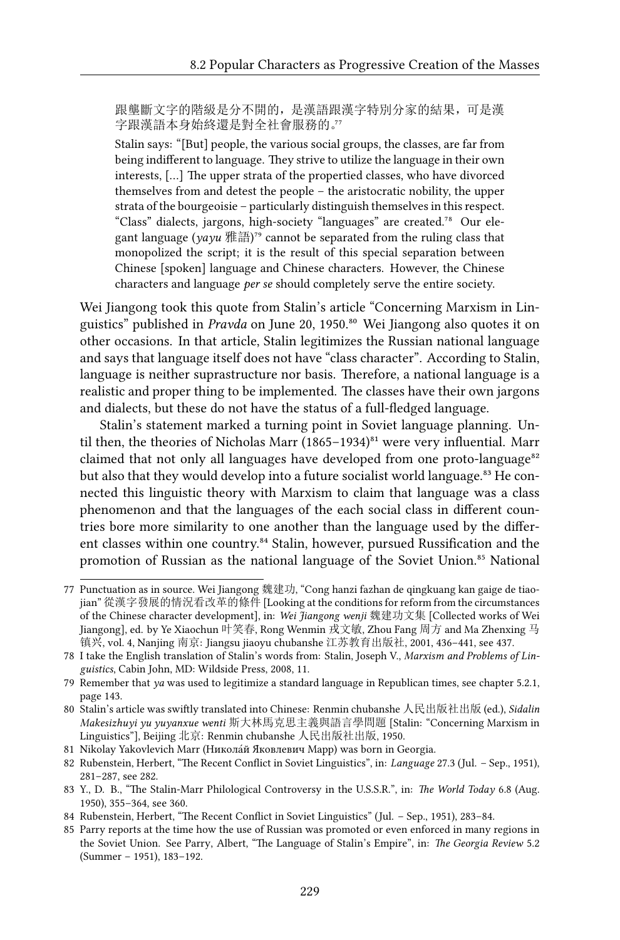跟壟斷文字的階級是分不開的,是漢語跟漢字特別分家的結果,可是漢 字跟漢語本身始終還是對全社會服務的。"

Stalin says: "[But] people, the various social groups, the classes, are far from being indifferent to language. They strive to utilize the language in their own interests, […] The upper strata of the propertied classes, who have divorced themselves from and detest the people – the aristocratic nobility, the upper strata of the bourgeoisie – particularly distinguish themselves in this respect. "Class" dialects, jargons, high-society "languages" are created.<sup>78</sup> Our elegant language ( $yayu$ 雅語)<sup>79</sup> cannot be separated from the ruling class that monopolized the script; it is the result of this special separation between Chinese [spoken] language and Chinese characters. However, the Chinese characters and language *per se* should completely serve the entire society.

Wei Jiangong took this quote from Stalin's article "Concerning Marxism in Linguistics" published in *Pravda* on June 20, 1950.<sup>80</sup> Wei Jiangong also quotes it on other occasions. In that article, Stalin legitimizes the Russian national language and says that language itself does not have "class character". According to Stalin, language is neither suprastructure nor basis. Therefore, a national language is a realistic and proper thing to be implemented. The classes have their own jargons and dialects, but these do not have the status of a full-fledged language.

Stalin's statement marked a turning point in Soviet language planning. Until then, the theories of Nicholas Marr (1865–1934) $^{81}$  were very influential. Marr claimed that not only all languages have developed from one proto-language<sup>82</sup> but also that they would develop into a future socialist world language.<sup>83</sup> He connected this linguistic theory with Marxism to claim that language was a class phenomenon and that the languages of the each social class in different countries bore more similarity to one another than the language used by the different classes within one country.<sup>84</sup> Stalin, however, pursued Russification and the promotion of Russian as the national language of the Soviet Union.<sup>85</sup> National

<sup>77</sup> Punctuation as in source. Wei Jiangong 魏建功, "Cong hanzi fazhan de qingkuang kan gaige de tiaojian" 從漢字發展的情況看改革的條件 [Looking at the conditions for reform from the circumstances of the Chinese character development], in: *Wei Jiangong wenji* 魏建功文集 [Collected works of Wei Jiangong], ed. by Ye Xiaochun 叶笑春, Rong Wenmin 戎文敏, Zhou Fang 周方 and Ma Zhenxing 马 镇兴, vol. 4, Nanjing 南京: Jiangsu jiaoyu chubanshe 江苏教育出版社, 2001, 436–441, see 437.

<sup>78</sup> I take the English translation of Stalin's words from: Stalin, Joseph V., *Marxism and Problems of Linguistics*, Cabin John, MD: Wildside Press, 2008, 11.

<sup>79</sup> Remember that *ya* was used to legitimize a standard language in Republican times, see chapter 5.2.1, page 143.

<sup>80</sup> Stalin's article was swiftly translated into Chinese: Renmin chubanshe 人民出版社出版 (ed.), *Sidalin Makesizhuyi yu yuyanxue wenti* 斯大林馬克思主義與語言學問題 [Stalin: "Concerning Marxism in Linguistics"], Beijing 北京: Renmin chubanshe 人民出版社出版, 1950.

<sup>81</sup> Nikolay Yakovlevich Marr (Никола́й Яковлевич Марр) was born in Georgia.

<sup>82</sup> Rubenstein, Herbert, "The Recent Conflict in Soviet Linguistics", in: *Language* 27.3 (Jul. – Sep., 1951), 281–287, see 282.

<sup>83</sup> Y., D. B., "The Stalin-Marr Philological Controversy in the U.S.S.R.", in: *The World Today* 6.8 (Aug. 1950), 355–364, see 360.

<sup>84</sup> Rubenstein, Herbert, "The Recent Conflict in Soviet Linguistics" (Jul. – Sep., 1951), 283–84.

<sup>85</sup> Parry reports at the time how the use of Russian was promoted or even enforced in many regions in the Soviet Union. See Parry, Albert, "The Language of Stalin's Empire", in: *The Georgia Review* 5.2 (Summer – 1951), 183–192.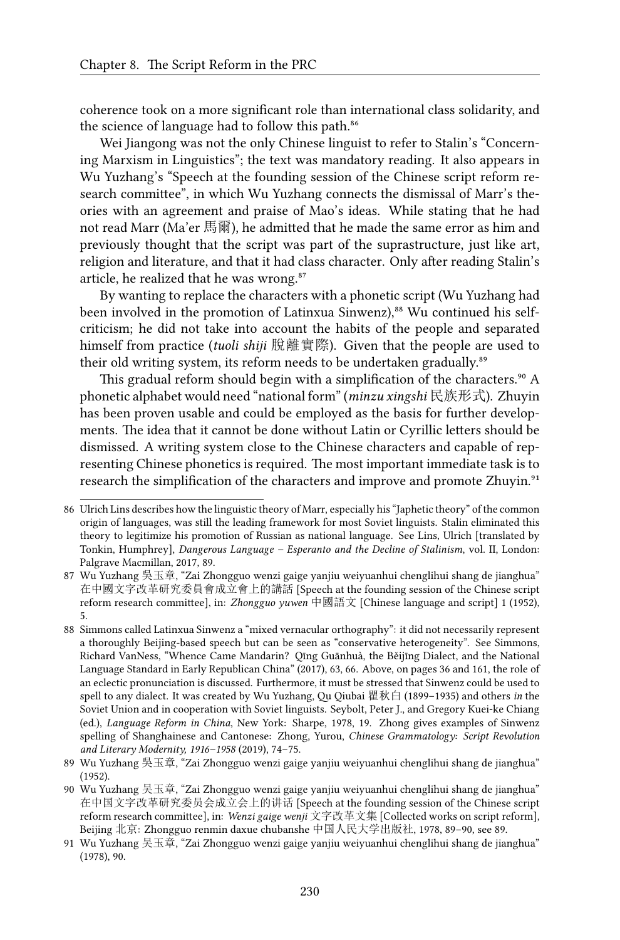coherence took on a more significant role than international class solidarity, and the science of language had to follow this path.<sup>86</sup>

Wei Jiangong was not the only Chinese linguist to refer to Stalin's "Concerning Marxism in Linguistics"; the text was mandatory reading. It also appears in Wu Yuzhang's "Speech at the founding session of the Chinese script reform research committee", in which Wu Yuzhang connects the dismissal of Marr's theories with an agreement and praise of Mao's ideas. While stating that he had not read Marr (Ma'er 馬爾), he admitted that he made the same error as him and previously thought that the script was part of the suprastructure, just like art, religion and literature, and that it had class character. Only after reading Stalin's article, he realized that he was wrong.<sup>87</sup>

By wanting to replace the characters with a phonetic script (Wu Yuzhang had been involved in the promotion of Latinxua Sinwenz),<sup>88</sup> Wu continued his selfcriticism; he did not take into account the habits of the people and separated himself from practice (*tuoli shiji* 脫離實際). Given that the people are used to their old writing system, its reform needs to be undertaken gradually.<sup>89</sup>

This gradual reform should begin with a simplification of the characters.<sup>90</sup> A phonetic alphabet would need "national form" (*minzu xingshi* 民族形式). Zhuyin has been proven usable and could be employed as the basis for further developments. The idea that it cannot be done without Latin or Cyrillic letters should be dismissed. A writing system close to the Chinese characters and capable of representing Chinese phonetics is required. The most important immediate task is to research the simplification of the characters and improve and promote Zhuyin.<sup>91</sup>

<sup>86</sup> Ulrich Lins describes how the linguistic theory of Marr, especially his "Japhetic theory" of the common origin of languages, was still the leading framework for most Soviet linguists. Stalin eliminated this theory to legitimize his promotion of Russian as national language. See Lins, Ulrich [translated by Tonkin, Humphrey], *Dangerous Language – Esperanto and the Decline of Stalinism*, vol. II, London: Palgrave Macmillan, 2017, 89.

<sup>87</sup> Wu Yuzhang 吳玉章, "Zai Zhongguo wenzi gaige yanjiu weiyuanhui chenglihui shang de jianghua" 在中國文字改革研究委員會成立會上的講話 [Speech at the founding session of the Chinese script reform research committee], in: *Zhongguo yuwen* 中國語文 [Chinese language and script] 1 (1952), 5.

<sup>88</sup> Simmons called Latinxua Sinwenz a "mixed vernacular orthography": it did not necessarily represent a thoroughly Beijing-based speech but can be seen as "conservative heterogeneity". See Simmons, Richard VanNess, "Whence Came Mandarin? Qīng Guānhuà, the Běijīng Dialect, and the National Language Standard in Early Republican China" (2017), 63, 66. Above, on pages 36 and 161, the role of an eclectic pronunciation is discussed. Furthermore, it must be stressed that Sinwenz could be used to spell to any dialect. It was created by Wu Yuzhang, Qu Qiubai 瞿秋白 (1899–1935) and others *in* the Soviet Union and in cooperation with Soviet linguists. Seybolt, Peter J., and Gregory Kuei-ke Chiang (ed.), *Language Reform in China*, New York: Sharpe, 1978, 19. Zhong gives examples of Sinwenz spelling of Shanghainese and Cantonese: Zhong, Yurou, *Chinese Grammatology: Script Revolution and Literary Modernity, 1916–1958* (2019), 74–75.

<sup>89</sup> Wu Yuzhang 吳玉章, "Zai Zhongguo wenzi gaige yanjiu weiyuanhui chenglihui shang de jianghua" (1952).

<sup>90</sup> Wu Yuzhang 吴玉章, "Zai Zhongguo wenzi gaige yanjiu weiyuanhui chenglihui shang de jianghua" 在中国文字改革研究委员会成立会上的讲话 [Speech at the founding session of the Chinese script reform research committee], in: *Wenzi gaige wenji* 文字改革文集 [Collected works on script reform], Beijing 北京: Zhongguo renmin daxue chubanshe 中国人民大学出版社, 1978, 89–90, see 89.

<sup>91</sup> Wu Yuzhang 吴玉章, "Zai Zhongguo wenzi gaige yanjiu weiyuanhui chenglihui shang de jianghua" (1978), 90.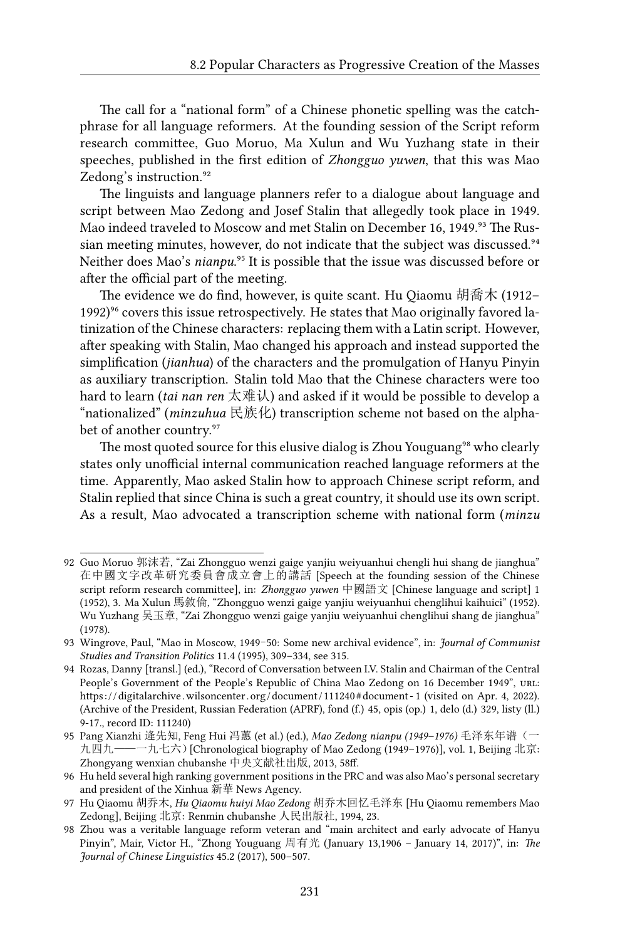The call for a "national form" of a Chinese phonetic spelling was the catchphrase for all language reformers. At the founding session of the Script reform research committee, Guo Moruo, Ma Xulun and Wu Yuzhang state in their speeches, published in the first edition of *Zhongguo yuwen*, that this was Mao Zedong's instruction.<sup>92</sup>

The linguists and language planners refer to a dialogue about language and script between Mao Zedong and Josef Stalin that allegedly took place in 1949. Mao indeed traveled to Moscow and met Stalin on December 16, 1949.<sup>93</sup> The Russian meeting minutes, however, do not indicate that the subject was discussed.<sup>94</sup> Neither does Mao's *nianpu*.<sup>95</sup> It is possible that the issue was discussed before or after the official part of the meeting.

The evidence we do find, however, is quite scant. Hu Qiaomu 胡喬木 (1912– 1992)<sup>96</sup> covers this issue retrospectively. He states that Mao originally favored latinization of the Chinese characters: replacing them with a Latin script. However, after speaking with Stalin, Mao changed his approach and instead supported the simplification (*jianhua*) of the characters and the promulgation of Hanyu Pinyin as auxiliary transcription. Stalin told Mao that the Chinese characters were too hard to learn (*tai nan ren* 太难认) and asked if it would be possible to develop a "nationalized" (*minzuhua* 民族化) transcription scheme not based on the alphabet of another country.<sup>97</sup>

The most quoted source for this elusive dialog is Zhou Youguang<sup>98</sup> who clearly states only unofficial internal communication reached language reformers at the time. Apparently, Mao asked Stalin how to approach Chinese script reform, and Stalin replied that since China is such a great country, it should use its own script. As a result, Mao advocated a transcription scheme with national form (*minzu*

<sup>92</sup> Guo Moruo 郭沫若, "Zai Zhongguo wenzi gaige yanjiu weiyuanhui chengli hui shang de jianghua" 在中國文字改革研究委員會成立會上的講話 [Speech at the founding session of the Chinese script reform research committee], in: *Zhongguo yuwen* 中國語文 [Chinese language and script] 1 (1952), 3. Ma Xulun 馬敘倫, "Zhongguo wenzi gaige yanjiu weiyuanhui chenglihui kaihuici" (1952). Wu Yuzhang 吴玉章, "Zai Zhongguo wenzi gaige yanjiu weiyuanhui chenglihui shang de jianghua" (1978).

<sup>93</sup> Wingrove, Paul, "Mao in Moscow, 1949–50: Some new archival evidence", in: *Journal of Communist Studies and Transition Politics* 11.4 (1995), 309–334, see 315.

<sup>94</sup> Rozas, Danny [transl.] (ed.), "Record of Conversation between I.V. Stalin and Chairman of the Central People's Government of the People's Republic of China Mao Zedong on 16 December 1949", URL: https: / / digitalarchive .wilsoncenter . org / document /111240# document - 1 (visited on Apr. 4, 2022). (Archive of the President, Russian Federation (APRF), fond (f.) 45, opis (op.) 1, delo (d.) 329, listy (ll.) 9-17., record ID: 111240)

<sup>95</sup> Pang Xianzhi 逄先知, Feng Hui 冯蕙 (et al.) (ed.), *Mao Zedong nianpu (1949–1976)* 毛泽东年谱(一 九四九——一九七六)[Chronological biography of Mao Zedong (1949–1976)], vol. 1, Beijing 北京: Zhongyang wenxian chubanshe 中央文献社出版, 2013, 58ff.

<sup>96</sup> Hu held several high ranking government positions in the PRC and was also Mao's personal secretary and president of the Xinhua 新華 News Agency.

<sup>97</sup> Hu Qiaomu 胡乔木, *Hu Qiaomu huiyi Mao Zedong* 胡乔木回忆毛泽东 [Hu Qiaomu remembers Mao Zedong], Beijing 北京: Renmin chubanshe 人民出版社, 1994, 23.

<sup>98</sup> Zhou was a veritable language reform veteran and "main architect and early advocate of Hanyu Pinyin", Mair, Victor H., "Zhong Youguang 周有光 (January 13,1906 – January 14, 2017)", in: *The Journal of Chinese Linguistics* 45.2 (2017), 500–507.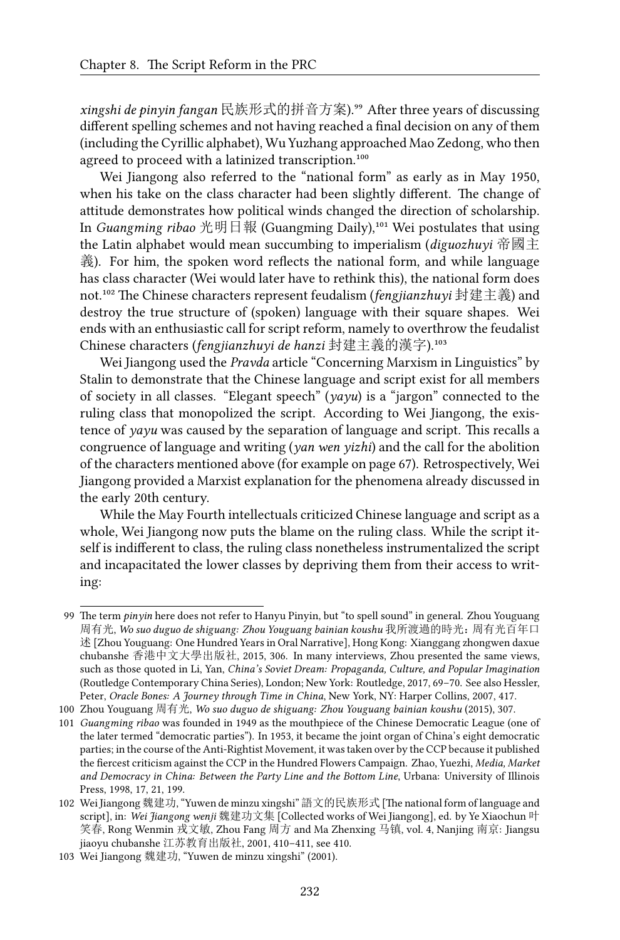*xingshi de pinyin fangan* 民族形式的拼音方案).⁹⁹ After three years of discussing different spelling schemes and not having reached a final decision on any of them (including the Cyrillic alphabet), Wu Yuzhang approached Mao Zedong, who then agreed to proceed with a latinized transcription.<sup>100</sup>

Wei Jiangong also referred to the "national form" as early as in May 1950, when his take on the class character had been slightly different. The change of attitude demonstrates how political winds changed the direction of scholarship. In *Guangming ribao* 光明日報 (Guangming Daily),<sup>101</sup> Wei postulates that using the Latin alphabet would mean succumbing to imperialism (*diguozhuyi* 帝國主 義). For him, the spoken word reflects the national form, and while language has class character (Wei would later have to rethink this), the national form does not.<sup>102</sup> The Chinese characters represent feudalism (*fengjianzhuyi* 封建主義) and destroy the true structure of (spoken) language with their square shapes. Wei ends with an enthusiastic call for script reform, namely to overthrow the feudalist Chinese characters (*fengjianzhuyi de hanzi* 封建主義的漢字).<sup>103</sup>

Wei Jiangong used the *Pravda* article "Concerning Marxism in Linguistics" by Stalin to demonstrate that the Chinese language and script exist for all members of society in all classes. "Elegant speech" (*yayu*) is a "jargon" connected to the ruling class that monopolized the script. According to Wei Jiangong, the existence of *yayu* was caused by the separation of language and script. This recalls a congruence of language and writing (*yan wen yizhi*) and the call for the abolition of the characters mentioned above (for example on page 67). Retrospectively, Wei Jiangong provided a Marxist explanation for the phenomena already discussed in the early 20th century.

While the May Fourth intellectuals criticized Chinese language and script as a whole, Wei Jiangong now puts the blame on the ruling class. While the script itself is indifferent to class, the ruling class nonetheless instrumentalized the script and incapacitated the lower classes by depriving them from their access to writing:

<sup>99</sup> The term *pinyin* here does not refer to Hanyu Pinyin, but "to spell sound" in general. Zhou Youguang 周有光, *Wo suo duguo de shiguang: Zhou Youguang bainian koushu* 我所渡過的時光:周有光百年口 述 [Zhou Youguang: One Hundred Years in Oral Narrative], Hong Kong: Xianggang zhongwen daxue chubanshe 香港中文大學出版社, 2015, 306. In many interviews, Zhou presented the same views, such as those quoted in Li, Yan, *China's Soviet Dream: Propaganda, Culture, and Popular Imagination* (Routledge Contemporary China Series), London; New York: Routledge, 2017, 69–70. See also Hessler, Peter, *Oracle Bones: A Journey through Time in China*, New York, NY: Harper Collins, 2007, 417.

<sup>100</sup> Zhou Youguang 周有光, *Wo suo duguo de shiguang: Zhou Youguang bainian koushu* (2015), 307.

<sup>101</sup> *Guangming ribao* was founded in 1949 as the mouthpiece of the Chinese Democratic League (one of the later termed "democratic parties"). In 1953, it became the joint organ of China's eight democratic parties; in the course of the Anti-Rightist Movement, it was taken over by the CCP because it published the fiercest criticism against the CCP in the Hundred Flowers Campaign. Zhao, Yuezhi, *Media, Market and Democracy in China: Between the Party Line and the Bottom Line*, Urbana: University of Illinois Press, 1998, 17, 21, 199.

<sup>102</sup> Wei Jiangong 魏建功, "Yuwen de minzu xingshi" 語文的民族形式 [The national form of language and script], in: *Wei Jiangong wenji* 魏建功文集 [Collected works of Wei Jiangong], ed. by Ye Xiaochun 叶 笑春, Rong Wenmin 戎文敏, Zhou Fang 周方 and Ma Zhenxing 马镇, vol. 4, Nanjing 南京: Jiangsu jiaoyu chubanshe 江苏教育出版社, 2001, 410–411, see 410.

<sup>103</sup> Wei Jiangong 魏建功, "Yuwen de minzu xingshi" (2001).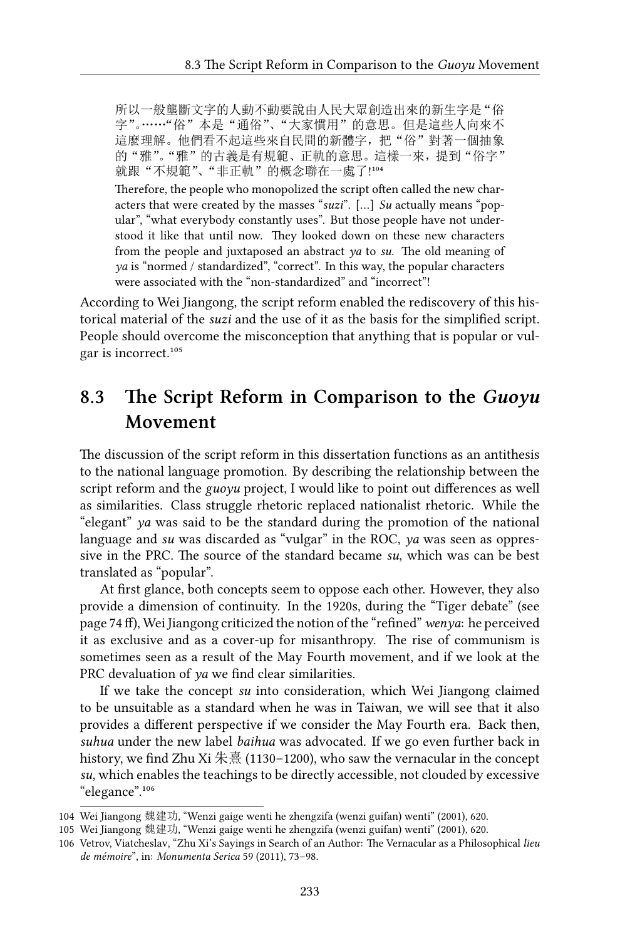所以一般壟斷文字的人動不動要說由人民大眾創造出來的新生字是"俗 字"。……"俗"本是"通俗"、"大家慣用"的意思。但是這些人向來不 這麼理解。他們看不起這些來自民間的新體字, 把"俗"對著一個抽象 的"雅"。"雅"的古義是有規範、正軌的意思。這樣一來,提到"俗字" 就跟"不規範"、"非正軌"的概念聯在一處了!104

Therefore, the people who monopolized the script often called the new characters that were created by the masses "*suzi*". […] *Su* actually means "popular", "what everybody constantly uses". But those people have not understood it like that until now. They looked down on these new characters from the people and juxtaposed an abstract *ya* to *su*. The old meaning of *ya* is "normed / standardized", "correct". In this way, the popular characters were associated with the "non-standardized" and "incorrect"!

According to Wei Jiangong, the script reform enabled the rediscovery of this historical material of the *suzi* and the use of it as the basis for the simplified script. People should overcome the misconception that anything that is popular or vulgar is incorrect.<sup>105</sup>

### **8.3 The Script Reform in Comparison to the** *Guoyu* **Movement**

The discussion of the script reform in this dissertation functions as an antithesis to the national language promotion. By describing the relationship between the script reform and the *guoyu* project, I would like to point out differences as well as similarities. Class struggle rhetoric replaced nationalist rhetoric. While the "elegant" *ya* was said to be the standard during the promotion of the national language and *su* was discarded as "vulgar" in the ROC, *ya* was seen as oppressive in the PRC. The source of the standard became *su*, which was can be best translated as "popular".

At first glance, both concepts seem to oppose each other. However, they also provide a dimension of continuity. In the 1920s, during the "Tiger debate" (see page 74 ff), Wei Jiangong criticized the notion of the "refined"*wenya*: he perceived it as exclusive and as a cover-up for misanthropy. The rise of communism is sometimes seen as a result of the May Fourth movement, and if we look at the PRC devaluation of *ya* we find clear similarities.

If we take the concept *su* into consideration, which Wei Jiangong claimed to be unsuitable as a standard when he was in Taiwan, we will see that it also provides a different perspective if we consider the May Fourth era. Back then, *suhua* under the new label *baihua* was advocated. If we go even further back in history, we find Zhu Xi 朱熹 (1130–1200), who saw the vernacular in the concept *su*, which enables the teachings to be directly accessible, not clouded by excessive "elegance".<sup>106</sup>

<sup>104</sup> Wei Jiangong 魏建功, "Wenzi gaige wenti he zhengzifa (wenzi guifan) wenti" (2001), 620.

<sup>105</sup> Wei Jiangong 魏建功, "Wenzi gaige wenti he zhengzifa (wenzi guifan) wenti" (2001), 620.

<sup>106</sup> Vetrov, Viatcheslav, "Zhu Xi's Sayings in Search of an Author: The Vernacular as a Philosophical *lieu de mémoire*", in: *Monumenta Serica* 59 (2011), 73–98.